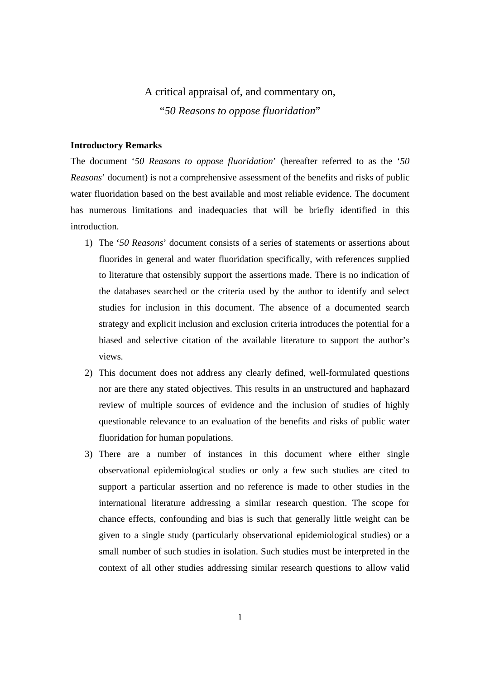# A critical appraisal of, and commentary on,

"*50 Reasons to oppose fluoridation*"

# **Introductory Remarks**

The document '*50 Reasons to oppose fluoridation*' (hereafter referred to as the '*50 Reasons*' document) is not a comprehensive assessment of the benefits and risks of public water fluoridation based on the best available and most reliable evidence. The document has numerous limitations and inadequacies that will be briefly identified in this introduction.

- 1) The '*50 Reasons*' document consists of a series of statements or assertions about fluorides in general and water fluoridation specifically, with references supplied to literature that ostensibly support the assertions made. There is no indication of the databases searched or the criteria used by the author to identify and select studies for inclusion in this document. The absence of a documented search strategy and explicit inclusion and exclusion criteria introduces the potential for a biased and selective citation of the available literature to support the author's views.
- 2) This document does not address any clearly defined, well-formulated questions nor are there any stated objectives. This results in an unstructured and haphazard review of multiple sources of evidence and the inclusion of studies of highly questionable relevance to an evaluation of the benefits and risks of public water fluoridation for human populations.
- 3) There are a number of instances in this document where either single observational epidemiological studies or only a few such studies are cited to support a particular assertion and no reference is made to other studies in the international literature addressing a similar research question. The scope for chance effects, confounding and bias is such that generally little weight can be given to a single study (particularly observational epidemiological studies) or a small number of such studies in isolation. Such studies must be interpreted in the context of all other studies addressing similar research questions to allow valid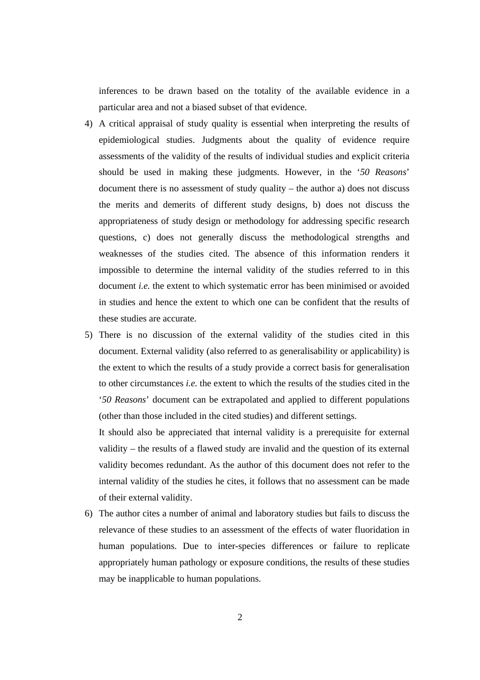inferences to be drawn based on the totality of the available evidence in a particular area and not a biased subset of that evidence.

- 4) A critical appraisal of study quality is essential when interpreting the results of epidemiological studies. Judgments about the quality of evidence require assessments of the validity of the results of individual studies and explicit criteria should be used in making these judgments. However, in the '*50 Reasons*' document there is no assessment of study quality – the author a) does not discuss the merits and demerits of different study designs, b) does not discuss the appropriateness of study design or methodology for addressing specific research questions, c) does not generally discuss the methodological strengths and weaknesses of the studies cited. The absence of this information renders it impossible to determine the internal validity of the studies referred to in this document *i.e.* the extent to which systematic error has been minimised or avoided in studies and hence the extent to which one can be confident that the results of these studies are accurate.
- 5) There is no discussion of the external validity of the studies cited in this document. External validity (also referred to as generalisability or applicability) is the extent to which the results of a study provide a correct basis for generalisation to other circumstances *i.e.* the extent to which the results of the studies cited in the '*50 Reasons*' document can be extrapolated and applied to different populations (other than those included in the cited studies) and different settings.

It should also be appreciated that internal validity is a prerequisite for external validity – the results of a flawed study are invalid and the question of its external validity becomes redundant. As the author of this document does not refer to the internal validity of the studies he cites, it follows that no assessment can be made of their external validity.

6) The author cites a number of animal and laboratory studies but fails to discuss the relevance of these studies to an assessment of the effects of water fluoridation in human populations. Due to inter-species differences or failure to replicate appropriately human pathology or exposure conditions, the results of these studies may be inapplicable to human populations.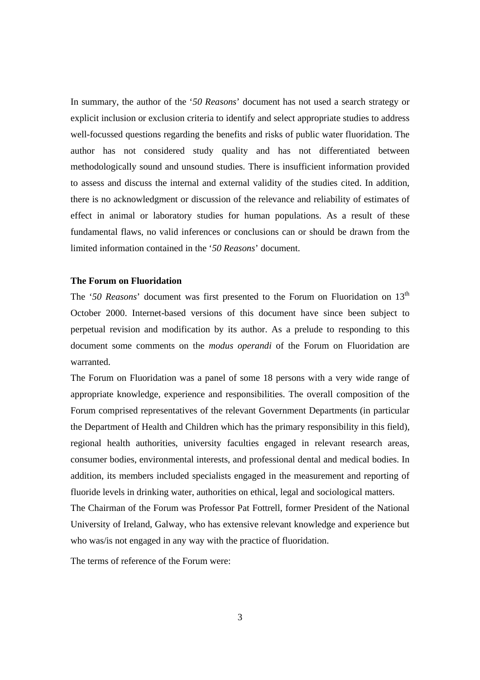In summary, the author of the '*50 Reasons*' document has not used a search strategy or explicit inclusion or exclusion criteria to identify and select appropriate studies to address well-focussed questions regarding the benefits and risks of public water fluoridation. The author has not considered study quality and has not differentiated between methodologically sound and unsound studies. There is insufficient information provided to assess and discuss the internal and external validity of the studies cited. In addition, there is no acknowledgment or discussion of the relevance and reliability of estimates of effect in animal or laboratory studies for human populations. As a result of these fundamental flaws, no valid inferences or conclusions can or should be drawn from the limited information contained in the '*50 Reasons*' document.

## **The Forum on Fluoridation**

The '50 Reasons' document was first presented to the Forum on Fluoridation on 13<sup>th</sup> October 2000. Internet-based versions of this document have since been subject to perpetual revision and modification by its author. As a prelude to responding to this document some comments on the *modus operandi* of the Forum on Fluoridation are warranted.

The Forum on Fluoridation was a panel of some 18 persons with a very wide range of appropriate knowledge, experience and responsibilities. The overall composition of the Forum comprised representatives of the relevant Government Departments (in particular the Department of Health and Children which has the primary responsibility in this field), regional health authorities, university faculties engaged in relevant research areas, consumer bodies, environmental interests, and professional dental and medical bodies. In addition, its members included specialists engaged in the measurement and reporting of fluoride levels in drinking water, authorities on ethical, legal and sociological matters.

The Chairman of the Forum was Professor Pat Fottrell, former President of the National University of Ireland, Galway, who has extensive relevant knowledge and experience but who was/is not engaged in any way with the practice of fluoridation.

The terms of reference of the Forum were: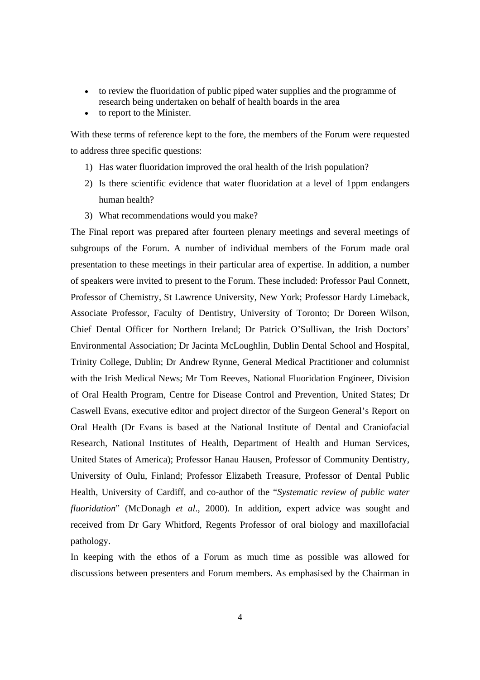- to review the fluoridation of public piped water supplies and the programme of research being undertaken on behalf of health boards in the area
- to report to the Minister.

With these terms of reference kept to the fore, the members of the Forum were requested to address three specific questions:

- 1) Has water fluoridation improved the oral health of the Irish population?
- 2) Is there scientific evidence that water fluoridation at a level of 1ppm endangers human health?
- 3) What recommendations would you make?

The Final report was prepared after fourteen plenary meetings and several meetings of subgroups of the Forum. A number of individual members of the Forum made oral presentation to these meetings in their particular area of expertise. In addition, a number of speakers were invited to present to the Forum. These included: Professor Paul Connett, Professor of Chemistry, St Lawrence University, New York; Professor Hardy Limeback, Associate Professor, Faculty of Dentistry, University of Toronto; Dr Doreen Wilson, Chief Dental Officer for Northern Ireland; Dr Patrick O'Sullivan, the Irish Doctors' Environmental Association; Dr Jacinta McLoughlin, Dublin Dental School and Hospital, Trinity College, Dublin; Dr Andrew Rynne, General Medical Practitioner and columnist with the Irish Medical News; Mr Tom Reeves, National Fluoridation Engineer, Division of Oral Health Program, Centre for Disease Control and Prevention, United States; Dr Caswell Evans, executive editor and project director of the Surgeon General's Report on Oral Health (Dr Evans is based at the National Institute of Dental and Craniofacial Research, National Institutes of Health, Department of Health and Human Services, United States of America); Professor Hanau Hausen, Professor of Community Dentistry, University of Oulu, Finland; Professor Elizabeth Treasure, Professor of Dental Public Health, University of Cardiff, and co-author of the "*Systematic review of public water fluoridation*" (McDonagh *et al*., 2000). In addition, expert advice was sought and received from Dr Gary Whitford, Regents Professor of oral biology and maxillofacial pathology.

In keeping with the ethos of a Forum as much time as possible was allowed for discussions between presenters and Forum members. As emphasised by the Chairman in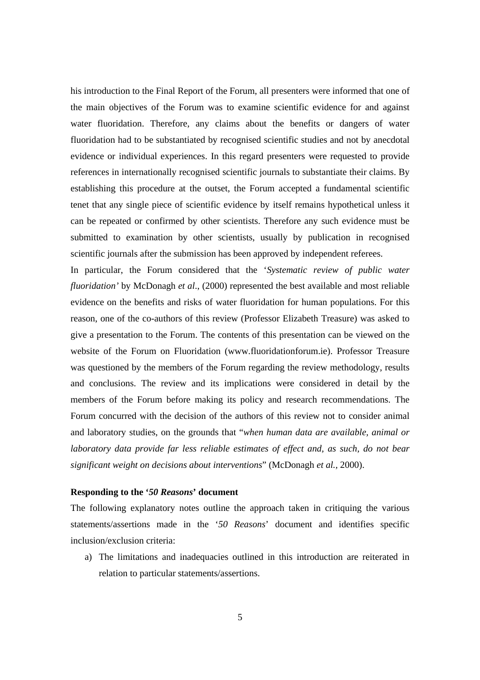his introduction to the Final Report of the Forum, all presenters were informed that one of the main objectives of the Forum was to examine scientific evidence for and against water fluoridation. Therefore, any claims about the benefits or dangers of water fluoridation had to be substantiated by recognised scientific studies and not by anecdotal evidence or individual experiences. In this regard presenters were requested to provide references in internationally recognised scientific journals to substantiate their claims. By establishing this procedure at the outset, the Forum accepted a fundamental scientific tenet that any single piece of scientific evidence by itself remains hypothetical unless it can be repeated or confirmed by other scientists. Therefore any such evidence must be submitted to examination by other scientists, usually by publication in recognised scientific journals after the submission has been approved by independent referees.

In particular, the Forum considered that the '*Systematic review of public water fluoridation'* by McDonagh *et al*., (2000) represented the best available and most reliable evidence on the benefits and risks of water fluoridation for human populations. For this reason, one of the co-authors of this review (Professor Elizabeth Treasure) was asked to give a presentation to the Forum. The contents of this presentation can be viewed on the website of the Forum on Fluoridation (www.fluoridationforum.ie). Professor Treasure was questioned by the members of the Forum regarding the review methodology, results and conclusions. The review and its implications were considered in detail by the members of the Forum before making its policy and research recommendations. The Forum concurred with the decision of the authors of this review not to consider animal and laboratory studies, on the grounds that "*when human data are available, animal or laboratory data provide far less reliable estimates of effect and, as such, do not bear significant weight on decisions about interventions*" (McDonagh *et al.,* 2000).

### **Responding to the '***50 Reasons***' document**

The following explanatory notes outline the approach taken in critiquing the various statements/assertions made in the '*50 Reasons*' document and identifies specific inclusion/exclusion criteria:

a) The limitations and inadequacies outlined in this introduction are reiterated in relation to particular statements/assertions.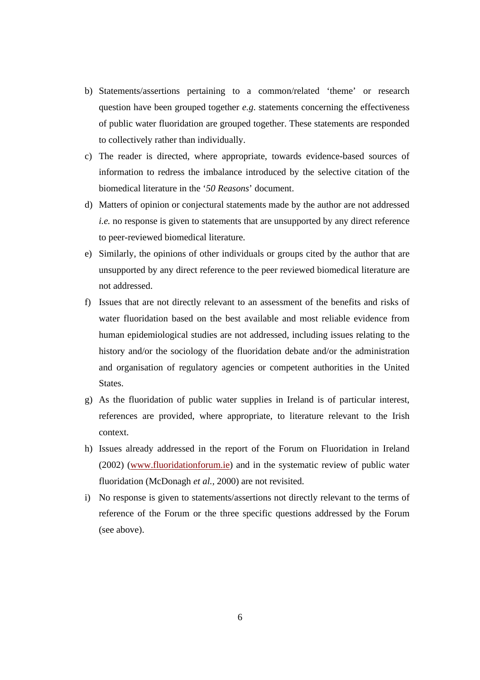- b) Statements/assertions pertaining to a common/related 'theme' or research question have been grouped together *e.g*. statements concerning the effectiveness of public water fluoridation are grouped together. These statements are responded to collectively rather than individually.
- c) The reader is directed, where appropriate, towards evidence-based sources of information to redress the imbalance introduced by the selective citation of the biomedical literature in the '*50 Reasons*' document.
- d) Matters of opinion or conjectural statements made by the author are not addressed *i.e.* no response is given to statements that are unsupported by any direct reference to peer-reviewed biomedical literature.
- e) Similarly, the opinions of other individuals or groups cited by the author that are unsupported by any direct reference to the peer reviewed biomedical literature are not addressed.
- f) Issues that are not directly relevant to an assessment of the benefits and risks of water fluoridation based on the best available and most reliable evidence from human epidemiological studies are not addressed, including issues relating to the history and/or the sociology of the fluoridation debate and/or the administration and organisation of regulatory agencies or competent authorities in the United States.
- g) As the fluoridation of public water supplies in Ireland is of particular interest, references are provided, where appropriate, to literature relevant to the Irish context.
- h) Issues already addressed in the report of the Forum on Fluoridation in Ireland (2002) (www.fluoridationforum.ie) and in the systematic review of public water fluoridation (McDonagh *et al.,* 2000) are not revisited.
- i) No response is given to statements/assertions not directly relevant to the terms of reference of the Forum or the three specific questions addressed by the Forum (see above).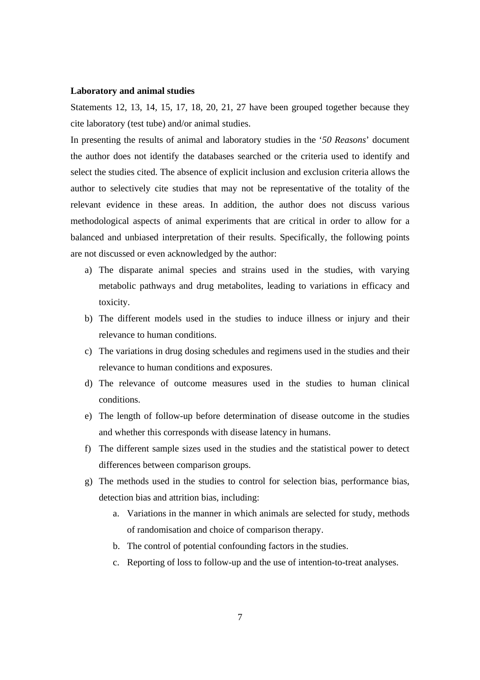#### **Laboratory and animal studies**

Statements 12, 13, 14, 15, 17, 18, 20, 21, 27 have been grouped together because they cite laboratory (test tube) and/or animal studies.

In presenting the results of animal and laboratory studies in the '*50 Reasons*' document the author does not identify the databases searched or the criteria used to identify and select the studies cited. The absence of explicit inclusion and exclusion criteria allows the author to selectively cite studies that may not be representative of the totality of the relevant evidence in these areas. In addition, the author does not discuss various methodological aspects of animal experiments that are critical in order to allow for a balanced and unbiased interpretation of their results. Specifically, the following points are not discussed or even acknowledged by the author:

- a) The disparate animal species and strains used in the studies, with varying metabolic pathways and drug metabolites, leading to variations in efficacy and toxicity.
- b) The different models used in the studies to induce illness or injury and their relevance to human conditions.
- c) The variations in drug dosing schedules and regimens used in the studies and their relevance to human conditions and exposures.
- d) The relevance of outcome measures used in the studies to human clinical conditions.
- e) The length of follow-up before determination of disease outcome in the studies and whether this corresponds with disease latency in humans.
- f) The different sample sizes used in the studies and the statistical power to detect differences between comparison groups.
- g) The methods used in the studies to control for selection bias, performance bias, detection bias and attrition bias, including:
	- a. Variations in the manner in which animals are selected for study, methods of randomisation and choice of comparison therapy.
	- b. The control of potential confounding factors in the studies.
	- c. Reporting of loss to follow-up and the use of intention-to-treat analyses.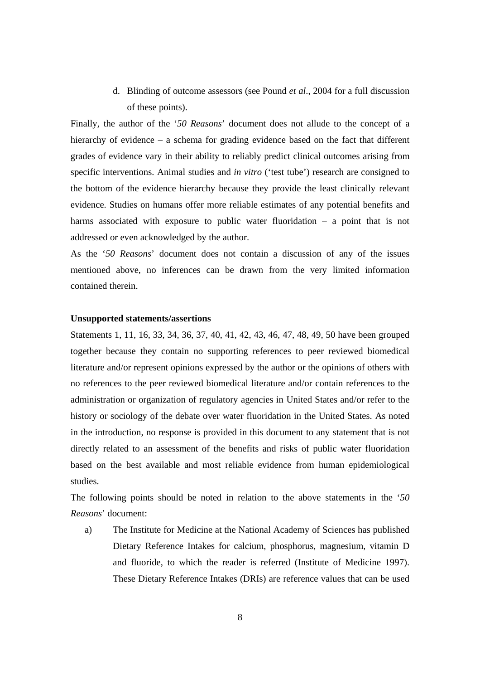d. Blinding of outcome assessors (see Pound *et al*., 2004 for a full discussion of these points).

Finally, the author of the '*50 Reasons*' document does not allude to the concept of a hierarchy of evidence – a schema for grading evidence based on the fact that different grades of evidence vary in their ability to reliably predict clinical outcomes arising from specific interventions. Animal studies and *in vitro* ('test tube') research are consigned to the bottom of the evidence hierarchy because they provide the least clinically relevant evidence. Studies on humans offer more reliable estimates of any potential benefits and harms associated with exposure to public water fluoridation – a point that is not addressed or even acknowledged by the author.

As the '*50 Reasons*' document does not contain a discussion of any of the issues mentioned above, no inferences can be drawn from the very limited information contained therein.

#### **Unsupported statements/assertions**

Statements 1, 11, 16, 33, 34, 36, 37, 40, 41, 42, 43, 46, 47, 48, 49, 50 have been grouped together because they contain no supporting references to peer reviewed biomedical literature and/or represent opinions expressed by the author or the opinions of others with no references to the peer reviewed biomedical literature and/or contain references to the administration or organization of regulatory agencies in United States and/or refer to the history or sociology of the debate over water fluoridation in the United States. As noted in the introduction, no response is provided in this document to any statement that is not directly related to an assessment of the benefits and risks of public water fluoridation based on the best available and most reliable evidence from human epidemiological studies.

The following points should be noted in relation to the above statements in the '*50 Reasons*' document:

a) The Institute for Medicine at the National Academy of Sciences has published Dietary Reference Intakes for calcium, phosphorus, magnesium, vitamin D and fluoride, to which the reader is referred (Institute of Medicine 1997). These Dietary Reference Intakes (DRIs) are reference values that can be used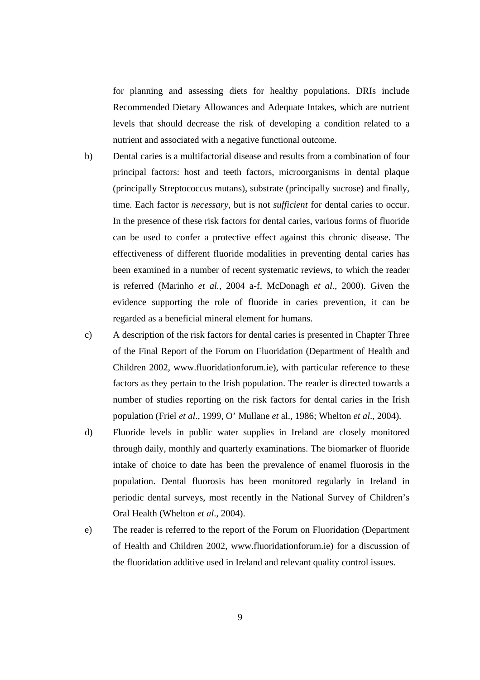for planning and assessing diets for healthy populations. DRIs include Recommended Dietary Allowances and Adequate Intakes, which are nutrient levels that should decrease the risk of developing a condition related to a nutrient and associated with a negative functional outcome.

- b) Dental caries is a multifactorial disease and results from a combination of four principal factors: host and teeth factors, microorganisms in dental plaque (principally Streptococcus mutans), substrate (principally sucrose) and finally, time. Each factor is *necessary*, but is not *sufficient* for dental caries to occur. In the presence of these risk factors for dental caries, various forms of fluoride can be used to confer a protective effect against this chronic disease. The effectiveness of different fluoride modalities in preventing dental caries has been examined in a number of recent systematic reviews, to which the reader is referred (Marinho *et al.,* 2004 a-f, McDonagh *et al*., 2000). Given the evidence supporting the role of fluoride in caries prevention, it can be regarded as a beneficial mineral element for humans.
- c) A description of the risk factors for dental caries is presented in Chapter Three of the Final Report of the Forum on Fluoridation (Department of Health and Children 2002, www.fluoridationforum.ie), with particular reference to these factors as they pertain to the Irish population. The reader is directed towards a number of studies reporting on the risk factors for dental caries in the Irish population (Friel *et al*., 1999, O' Mullane *et* al., 1986; Whelton *et al*., 2004).
- d) Fluoride levels in public water supplies in Ireland are closely monitored through daily, monthly and quarterly examinations. The biomarker of fluoride intake of choice to date has been the prevalence of enamel fluorosis in the population. Dental fluorosis has been monitored regularly in Ireland in periodic dental surveys, most recently in the National Survey of Children's Oral Health (Whelton *et al*., 2004).
- e) The reader is referred to the report of the Forum on Fluoridation (Department of Health and Children 2002, www.fluoridationforum.ie) for a discussion of the fluoridation additive used in Ireland and relevant quality control issues.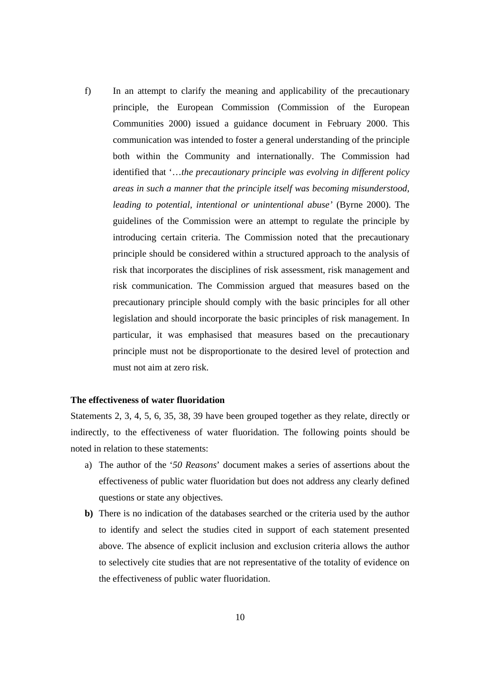f) In an attempt to clarify the meaning and applicability of the precautionary principle, the European Commission (Commission of the European Communities 2000) issued a guidance document in February 2000. This communication was intended to foster a general understanding of the principle both within the Community and internationally. The Commission had identified that '…*the precautionary principle was evolving in different policy areas in such a manner that the principle itself was becoming misunderstood, leading to potential, intentional or unintentional abuse'* (Byrne 2000). The guidelines of the Commission were an attempt to regulate the principle by introducing certain criteria. The Commission noted that the precautionary principle should be considered within a structured approach to the analysis of risk that incorporates the disciplines of risk assessment, risk management and risk communication. The Commission argued that measures based on the precautionary principle should comply with the basic principles for all other legislation and should incorporate the basic principles of risk management. In particular, it was emphasised that measures based on the precautionary principle must not be disproportionate to the desired level of protection and must not aim at zero risk.

#### **The effectiveness of water fluoridation**

Statements 2, 3, 4, 5, 6, 35, 38, 39 have been grouped together as they relate, directly or indirectly, to the effectiveness of water fluoridation. The following points should be noted in relation to these statements:

- a) The author of the '*50 Reasons*' document makes a series of assertions about the effectiveness of public water fluoridation but does not address any clearly defined questions or state any objectives.
- **b)** There is no indication of the databases searched or the criteria used by the author to identify and select the studies cited in support of each statement presented above. The absence of explicit inclusion and exclusion criteria allows the author to selectively cite studies that are not representative of the totality of evidence on the effectiveness of public water fluoridation.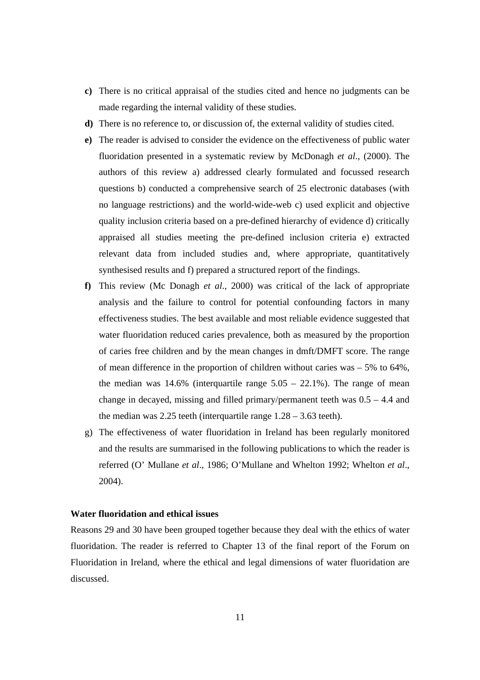- **c)** There is no critical appraisal of the studies cited and hence no judgments can be made regarding the internal validity of these studies.
- **d)** There is no reference to, or discussion of, the external validity of studies cited.
- **e)** The reader is advised to consider the evidence on the effectiveness of public water fluoridation presented in a systematic review by McDonagh *et al*., (2000). The authors of this review a) addressed clearly formulated and focussed research questions b) conducted a comprehensive search of 25 electronic databases (with no language restrictions) and the world-wide-web c) used explicit and objective quality inclusion criteria based on a pre-defined hierarchy of evidence d) critically appraised all studies meeting the pre-defined inclusion criteria e) extracted relevant data from included studies and, where appropriate, quantitatively synthesised results and f) prepared a structured report of the findings.
- **f)** This review (Mc Donagh *et al*., 2000) was critical of the lack of appropriate analysis and the failure to control for potential confounding factors in many effectiveness studies. The best available and most reliable evidence suggested that water fluoridation reduced caries prevalence, both as measured by the proportion of caries free children and by the mean changes in dmft/DMFT score. The range of mean difference in the proportion of children without caries was  $-5\%$  to 64%, the median was  $14.6\%$  (interquartile range  $5.05 - 22.1\%$ ). The range of mean change in decayed, missing and filled primary/permanent teeth was 0.5 – 4.4 and the median was 2.25 teeth (interquartile range 1.28 – 3.63 teeth).
- g) The effectiveness of water fluoridation in Ireland has been regularly monitored and the results are summarised in the following publications to which the reader is referred (O' Mullane *et al*., 1986; O'Mullane and Whelton 1992; Whelton *et al*., 2004).

### **Water fluoridation and ethical issues**

Reasons 29 and 30 have been grouped together because they deal with the ethics of water fluoridation. The reader is referred to Chapter 13 of the final report of the Forum on Fluoridation in Ireland, where the ethical and legal dimensions of water fluoridation are discussed.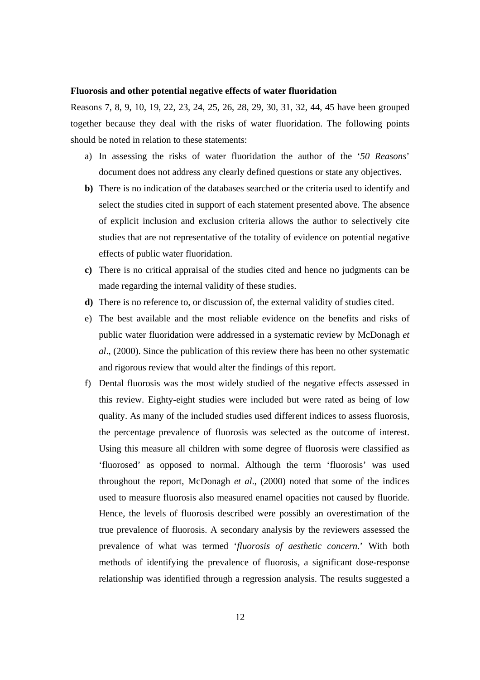#### **Fluorosis and other potential negative effects of water fluoridation**

Reasons 7, 8, 9, 10, 19, 22, 23, 24, 25, 26, 28, 29, 30, 31, 32, 44, 45 have been grouped together because they deal with the risks of water fluoridation. The following points should be noted in relation to these statements:

- a) In assessing the risks of water fluoridation the author of the '*50 Reasons*' document does not address any clearly defined questions or state any objectives.
- **b)** There is no indication of the databases searched or the criteria used to identify and select the studies cited in support of each statement presented above. The absence of explicit inclusion and exclusion criteria allows the author to selectively cite studies that are not representative of the totality of evidence on potential negative effects of public water fluoridation.
- **c)** There is no critical appraisal of the studies cited and hence no judgments can be made regarding the internal validity of these studies.
- **d)** There is no reference to, or discussion of, the external validity of studies cited.
- e) The best available and the most reliable evidence on the benefits and risks of public water fluoridation were addressed in a systematic review by McDonagh *et al*., (2000). Since the publication of this review there has been no other systematic and rigorous review that would alter the findings of this report.
- f) Dental fluorosis was the most widely studied of the negative effects assessed in this review. Eighty-eight studies were included but were rated as being of low quality. As many of the included studies used different indices to assess fluorosis, the percentage prevalence of fluorosis was selected as the outcome of interest. Using this measure all children with some degree of fluorosis were classified as 'fluorosed' as opposed to normal. Although the term 'fluorosis' was used throughout the report, McDonagh *et al*., (2000) noted that some of the indices used to measure fluorosis also measured enamel opacities not caused by fluoride. Hence, the levels of fluorosis described were possibly an overestimation of the true prevalence of fluorosis. A secondary analysis by the reviewers assessed the prevalence of what was termed '*fluorosis of aesthetic concern*.' With both methods of identifying the prevalence of fluorosis, a significant dose-response relationship was identified through a regression analysis. The results suggested a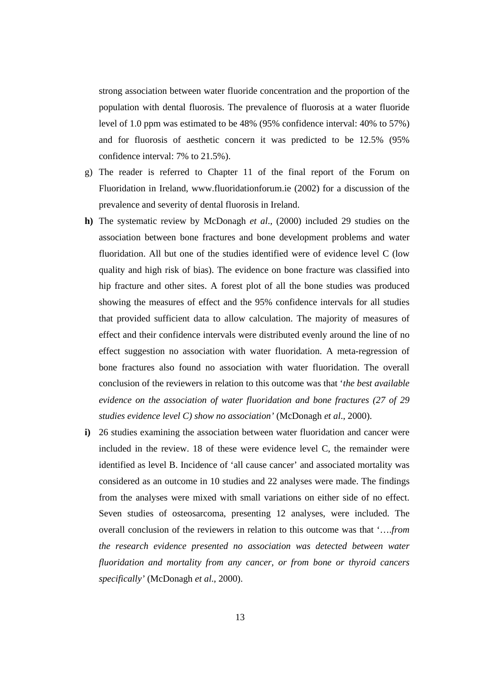strong association between water fluoride concentration and the proportion of the population with dental fluorosis. The prevalence of fluorosis at a water fluoride level of 1.0 ppm was estimated to be 48% (95% confidence interval: 40% to 57%) and for fluorosis of aesthetic concern it was predicted to be 12.5% (95% confidence interval: 7% to 21.5%).

- g) The reader is referred to Chapter 11 of the final report of the Forum on Fluoridation in Ireland, www.fluoridationforum.ie (2002) for a discussion of the prevalence and severity of dental fluorosis in Ireland.
- **h)** The systematic review by McDonagh *et al*., (2000) included 29 studies on the association between bone fractures and bone development problems and water fluoridation. All but one of the studies identified were of evidence level C (low quality and high risk of bias). The evidence on bone fracture was classified into hip fracture and other sites. A forest plot of all the bone studies was produced showing the measures of effect and the 95% confidence intervals for all studies that provided sufficient data to allow calculation. The majority of measures of effect and their confidence intervals were distributed evenly around the line of no effect suggestion no association with water fluoridation. A meta-regression of bone fractures also found no association with water fluoridation. The overall conclusion of the reviewers in relation to this outcome was that '*the best available evidence on the association of water fluoridation and bone fractures (27 of 29 studies evidence level C) show no association'* (McDonagh *et al*., 2000).
- **i)** 26 studies examining the association between water fluoridation and cancer were included in the review. 18 of these were evidence level C, the remainder were identified as level B. Incidence of 'all cause cancer' and associated mortality was considered as an outcome in 10 studies and 22 analyses were made. The findings from the analyses were mixed with small variations on either side of no effect. Seven studies of osteosarcoma, presenting 12 analyses, were included. The overall conclusion of the reviewers in relation to this outcome was that '….*from the research evidence presented no association was detected between water fluoridation and mortality from any cancer, or from bone or thyroid cancers specifically'* (McDonagh *et al*., 2000).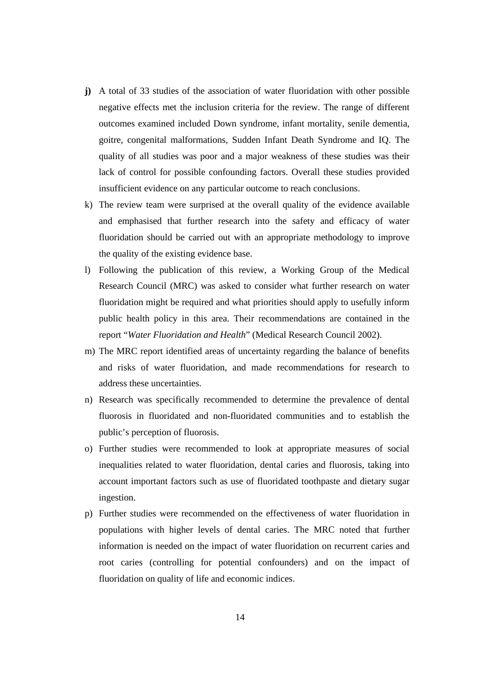- **j)** A total of 33 studies of the association of water fluoridation with other possible negative effects met the inclusion criteria for the review. The range of different outcomes examined included Down syndrome, infant mortality, senile dementia, goitre, congenital malformations, Sudden Infant Death Syndrome and IQ. The quality of all studies was poor and a major weakness of these studies was their lack of control for possible confounding factors. Overall these studies provided insufficient evidence on any particular outcome to reach conclusions.
- k) The review team were surprised at the overall quality of the evidence available and emphasised that further research into the safety and efficacy of water fluoridation should be carried out with an appropriate methodology to improve the quality of the existing evidence base.
- l) Following the publication of this review, a Working Group of the Medical Research Council (MRC) was asked to consider what further research on water fluoridation might be required and what priorities should apply to usefully inform public health policy in this area. Their recommendations are contained in the report "*Water Fluoridation and Health*" (Medical Research Council 2002).
- m) The MRC report identified areas of uncertainty regarding the balance of benefits and risks of water fluoridation, and made recommendations for research to address these uncertainties.
- n) Research was specifically recommended to determine the prevalence of dental fluorosis in fluoridated and non-fluoridated communities and to establish the public's perception of fluorosis.
- o) Further studies were recommended to look at appropriate measures of social inequalities related to water fluoridation, dental caries and fluorosis, taking into account important factors such as use of fluoridated toothpaste and dietary sugar ingestion.
- p) Further studies were recommended on the effectiveness of water fluoridation in populations with higher levels of dental caries. The MRC noted that further information is needed on the impact of water fluoridation on recurrent caries and root caries (controlling for potential confounders) and on the impact of fluoridation on quality of life and economic indices.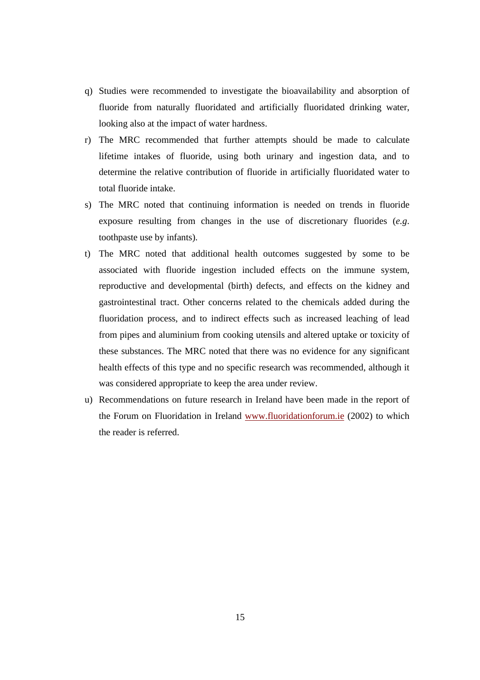- q) Studies were recommended to investigate the bioavailability and absorption of fluoride from naturally fluoridated and artificially fluoridated drinking water, looking also at the impact of water hardness.
- r) The MRC recommended that further attempts should be made to calculate lifetime intakes of fluoride, using both urinary and ingestion data, and to determine the relative contribution of fluoride in artificially fluoridated water to total fluoride intake.
- s) The MRC noted that continuing information is needed on trends in fluoride exposure resulting from changes in the use of discretionary fluorides (*e.g*. toothpaste use by infants).
- t) The MRC noted that additional health outcomes suggested by some to be associated with fluoride ingestion included effects on the immune system, reproductive and developmental (birth) defects, and effects on the kidney and gastrointestinal tract. Other concerns related to the chemicals added during the fluoridation process, and to indirect effects such as increased leaching of lead from pipes and aluminium from cooking utensils and altered uptake or toxicity of these substances. The MRC noted that there was no evidence for any significant health effects of this type and no specific research was recommended, although it was considered appropriate to keep the area under review.
- u) Recommendations on future research in Ireland have been made in the report of the Forum on Fluoridation in Ireland www.fluoridationforum.ie (2002) to which the reader is referred.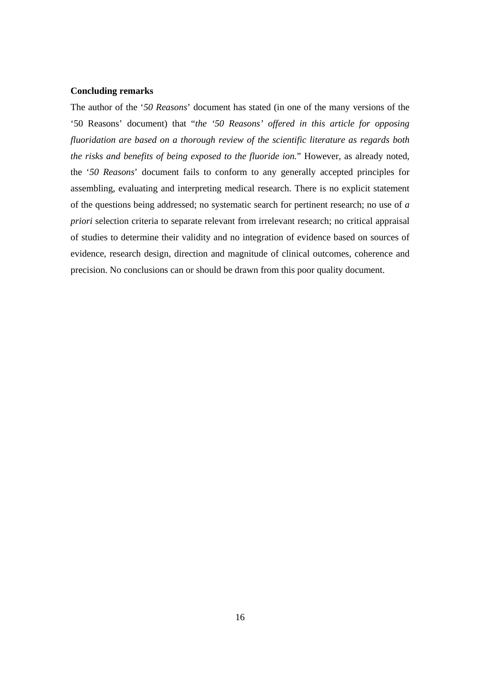### **Concluding remarks**

The author of the '*50 Reasons*' document has stated (in one of the many versions of the '50 Reasons' document) that "*the '50 Reasons' offered in this article for opposing fluoridation are based on a thorough review of the scientific literature as regards both the risks and benefits of being exposed to the fluoride ion.*" However, as already noted, the '*50 Reasons*' document fails to conform to any generally accepted principles for assembling, evaluating and interpreting medical research. There is no explicit statement of the questions being addressed; no systematic search for pertinent research; no use of *a priori* selection criteria to separate relevant from irrelevant research; no critical appraisal of studies to determine their validity and no integration of evidence based on sources of evidence, research design, direction and magnitude of clinical outcomes, coherence and precision. No conclusions can or should be drawn from this poor quality document.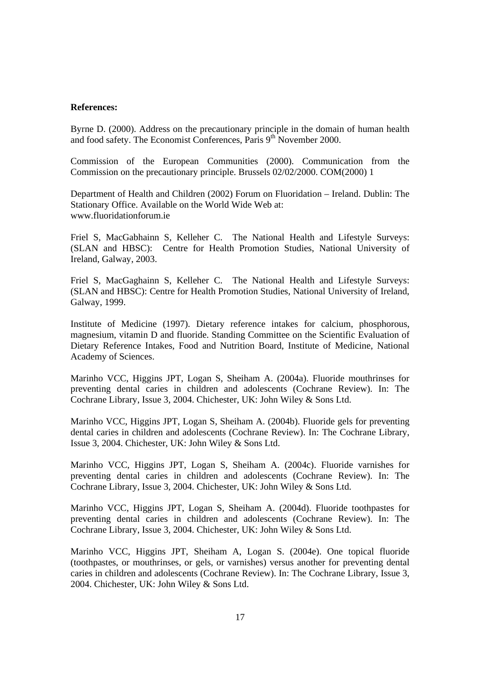#### **References:**

Byrne D. (2000). Address on the precautionary principle in the domain of human health and food safety. The Economist Conferences, Paris 9<sup>th</sup> November 2000.

Commission of the European Communities (2000). Communication from the Commission on the precautionary principle. Brussels 02/02/2000. COM(2000) 1

Department of Health and Children (2002) Forum on Fluoridation – Ireland. Dublin: The Stationary Office. Available on the World Wide Web at: www.fluoridationforum.ie

Friel S, MacGabhainn S, Kelleher C. The National Health and Lifestyle Surveys: (SLAN and HBSC): Centre for Health Promotion Studies, National University of Ireland, Galway, 2003.

Friel S, MacGaghainn S, Kelleher C. The National Health and Lifestyle Surveys: (SLAN and HBSC): Centre for Health Promotion Studies, National University of Ireland, Galway, 1999.

Institute of Medicine (1997). Dietary reference intakes for calcium, phosphorous, magnesium, vitamin D and fluoride. Standing Committee on the Scientific Evaluation of Dietary Reference Intakes, Food and Nutrition Board, Institute of Medicine, National Academy of Sciences.

Marinho VCC, Higgins JPT, Logan S, Sheiham A. (2004a). Fluoride mouthrinses for preventing dental caries in children and adolescents (Cochrane Review). In: The Cochrane Library, Issue 3, 2004. Chichester, UK: John Wiley & Sons Ltd.

Marinho VCC, Higgins JPT, Logan S, Sheiham A. (2004b). Fluoride gels for preventing dental caries in children and adolescents (Cochrane Review). In: The Cochrane Library, Issue 3, 2004. Chichester, UK: John Wiley & Sons Ltd.

Marinho VCC, Higgins JPT, Logan S, Sheiham A. (2004c). Fluoride varnishes for preventing dental caries in children and adolescents (Cochrane Review). In: The Cochrane Library, Issue 3, 2004. Chichester, UK: John Wiley & Sons Ltd.

Marinho VCC, Higgins JPT, Logan S, Sheiham A. (2004d). Fluoride toothpastes for preventing dental caries in children and adolescents (Cochrane Review). In: The Cochrane Library, Issue 3, 2004. Chichester, UK: John Wiley & Sons Ltd.

Marinho VCC, Higgins JPT, Sheiham A, Logan S. (2004e). One topical fluoride (toothpastes, or mouthrinses, or gels, or varnishes) versus another for preventing dental caries in children and adolescents (Cochrane Review). In: The Cochrane Library, Issue 3, 2004. Chichester, UK: John Wiley & Sons Ltd.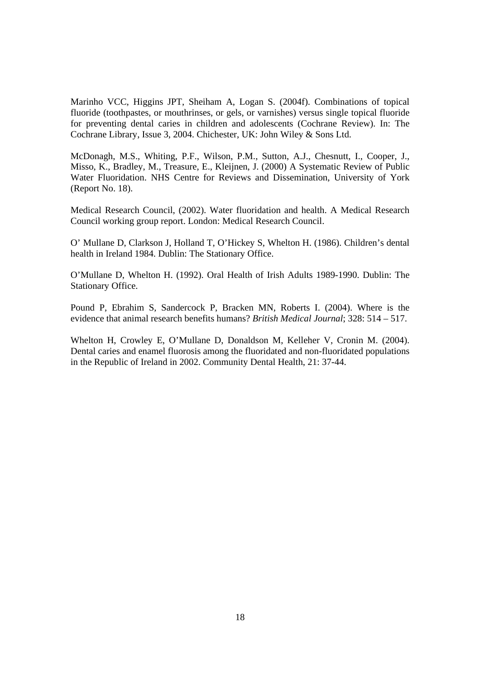Marinho VCC, Higgins JPT, Sheiham A, Logan S. (2004f). Combinations of topical fluoride (toothpastes, or mouthrinses, or gels, or varnishes) versus single topical fluoride for preventing dental caries in children and adolescents (Cochrane Review). In: The Cochrane Library, Issue 3, 2004. Chichester, UK: John Wiley & Sons Ltd.

McDonagh, M.S., Whiting, P.F., Wilson, P.M., Sutton, A.J., Chesnutt, I., Cooper, J., Misso, K., Bradley, M., Treasure, E., Kleijnen, J. (2000) A Systematic Review of Public Water Fluoridation. NHS Centre for Reviews and Dissemination, University of York (Report No. 18).

Medical Research Council, (2002). Water fluoridation and health. A Medical Research Council working group report. London: Medical Research Council.

O' Mullane D, Clarkson J, Holland T, O'Hickey S, Whelton H. (1986). Children's dental health in Ireland 1984. Dublin: The Stationary Office.

O'Mullane D, Whelton H. (1992). Oral Health of Irish Adults 1989-1990. Dublin: The Stationary Office.

Pound P, Ebrahim S, Sandercock P, Bracken MN, Roberts I. (2004). Where is the evidence that animal research benefits humans? *British Medical Journal*; 328: 514 – 517.

Whelton H, Crowley E, O'Mullane D, Donaldson M, Kelleher V, Cronin M. (2004). Dental caries and enamel fluorosis among the fluoridated and non-fluoridated populations in the Republic of Ireland in 2002. Community Dental Health, 21: 37-44.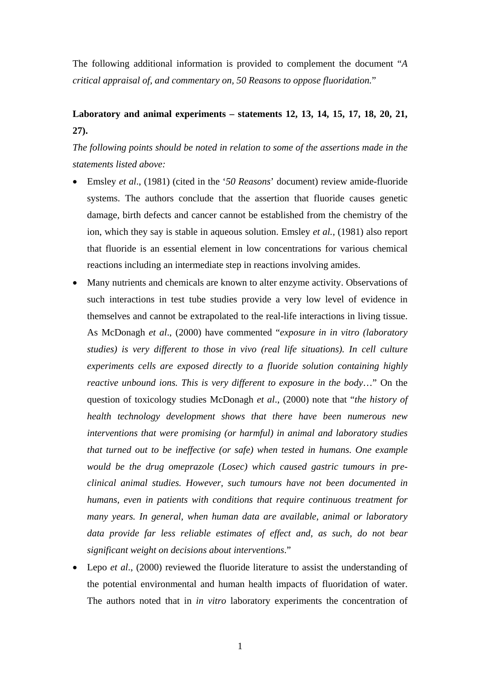The following additional information is provided to complement the document "*A critical appraisal of, and commentary on, 50 Reasons to oppose fluoridation.*"

# **Laboratory and animal experiments – statements 12, 13, 14, 15, 17, 18, 20, 21, 27).**

*The following points should be noted in relation to some of the assertions made in the statements listed above:*

- Emsley *et al*., (1981) (cited in the '*50 Reasons*' document) review amide-fluoride systems. The authors conclude that the assertion that fluoride causes genetic damage, birth defects and cancer cannot be established from the chemistry of the ion, which they say is stable in aqueous solution. Emsley *et al.,* (1981) also report that fluoride is an essential element in low concentrations for various chemical reactions including an intermediate step in reactions involving amides.
- Many nutrients and chemicals are known to alter enzyme activity. Observations of such interactions in test tube studies provide a very low level of evidence in themselves and cannot be extrapolated to the real-life interactions in living tissue. As McDonagh *et al*., (2000) have commented "*exposure in in vitro (laboratory studies) is very different to those in vivo (real life situations). In cell culture experiments cells are exposed directly to a fluoride solution containing highly reactive unbound ions. This is very different to exposure in the body*…" On the question of toxicology studies McDonagh *et al*., (2000) note that "*the history of health technology development shows that there have been numerous new interventions that were promising (or harmful) in animal and laboratory studies that turned out to be ineffective (or safe) when tested in humans. One example would be the drug omeprazole (Losec) which caused gastric tumours in preclinical animal studies. However, such tumours have not been documented in humans, even in patients with conditions that require continuous treatment for many years. In general, when human data are available, animal or laboratory data provide far less reliable estimates of effect and, as such, do not bear significant weight on decisions about interventions*."
- Lepo *et al.*, (2000) reviewed the fluoride literature to assist the understanding of the potential environmental and human health impacts of fluoridation of water. The authors noted that in *in vitro* laboratory experiments the concentration of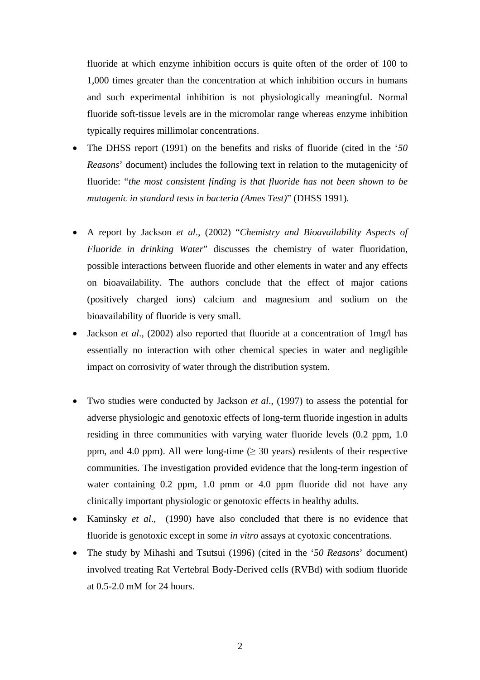fluoride at which enzyme inhibition occurs is quite often of the order of 100 to 1,000 times greater than the concentration at which inhibition occurs in humans and such experimental inhibition is not physiologically meaningful. Normal fluoride soft-tissue levels are in the micromolar range whereas enzyme inhibition typically requires millimolar concentrations.

- The DHSS report (1991) on the benefits and risks of fluoride (cited in the '*50 Reasons*' document) includes the following text in relation to the mutagenicity of fluoride: "*the most consistent finding is that fluoride has not been shown to be mutagenic in standard tests in bacteria (Ames Test)*" (DHSS 1991).
- A report by Jackson *et al*., (2002) "*Chemistry and Bioavailability Aspects of Fluoride in drinking Water*" discusses the chemistry of water fluoridation, possible interactions between fluoride and other elements in water and any effects on bioavailability. The authors conclude that the effect of major cations (positively charged ions) calcium and magnesium and sodium on the bioavailability of fluoride is very small.
- Jackson *et al*., (2002) also reported that fluoride at a concentration of 1mg/l has essentially no interaction with other chemical species in water and negligible impact on corrosivity of water through the distribution system.
- Two studies were conducted by Jackson *et al*., (1997) to assess the potential for adverse physiologic and genotoxic effects of long-term fluoride ingestion in adults residing in three communities with varying water fluoride levels (0.2 ppm, 1.0 ppm, and 4.0 ppm). All were long-time ( $\geq$  30 years) residents of their respective communities. The investigation provided evidence that the long-term ingestion of water containing 0.2 ppm, 1.0 pmm or 4.0 ppm fluoride did not have any clinically important physiologic or genotoxic effects in healthy adults.
- Kaminsky *et al*., (1990) have also concluded that there is no evidence that fluoride is genotoxic except in some *in vitro* assays at cyotoxic concentrations.
- The study by Mihashi and Tsutsui (1996) (cited in the '*50 Reasons*' document) involved treating Rat Vertebral Body-Derived cells (RVBd) with sodium fluoride at 0.5-2.0 mM for 24 hours.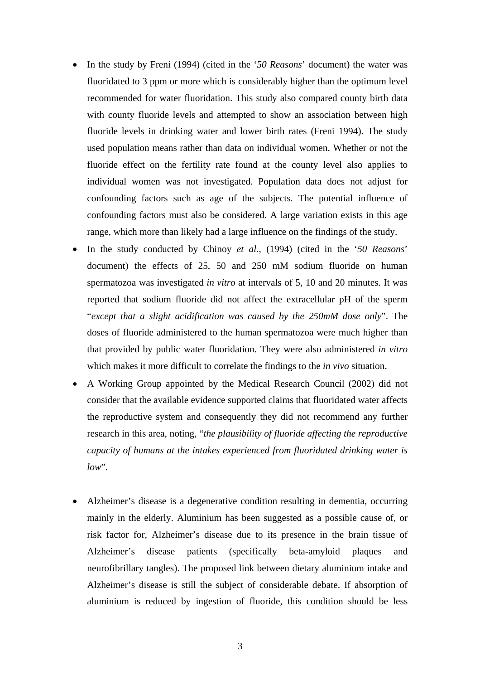- In the study by Freni (1994) (cited in the '*50 Reasons*' document) the water was fluoridated to 3 ppm or more which is considerably higher than the optimum level recommended for water fluoridation. This study also compared county birth data with county fluoride levels and attempted to show an association between high fluoride levels in drinking water and lower birth rates (Freni 1994). The study used population means rather than data on individual women. Whether or not the fluoride effect on the fertility rate found at the county level also applies to individual women was not investigated. Population data does not adjust for confounding factors such as age of the subjects. The potential influence of confounding factors must also be considered. A large variation exists in this age range, which more than likely had a large influence on the findings of the study.
- In the study conducted by Chinoy *et al*., (1994) (cited in the '*50 Reasons*' document) the effects of 25, 50 and 250 mM sodium fluoride on human spermatozoa was investigated *in vitro* at intervals of 5, 10 and 20 minutes. It was reported that sodium fluoride did not affect the extracellular pH of the sperm "*except that a slight acidification was caused by the 250mM dose only*". The doses of fluoride administered to the human spermatozoa were much higher than that provided by public water fluoridation. They were also administered *in vitro* which makes it more difficult to correlate the findings to the *in vivo* situation.
- A Working Group appointed by the Medical Research Council (2002) did not consider that the available evidence supported claims that fluoridated water affects the reproductive system and consequently they did not recommend any further research in this area, noting, "*the plausibility of fluoride affecting the reproductive capacity of humans at the intakes experienced from fluoridated drinking water is low*".
- Alzheimer's disease is a degenerative condition resulting in dementia, occurring mainly in the elderly. Aluminium has been suggested as a possible cause of, or risk factor for, Alzheimer's disease due to its presence in the brain tissue of Alzheimer's disease patients (specifically beta-amyloid plaques and neurofibrillary tangles). The proposed link between dietary aluminium intake and Alzheimer's disease is still the subject of considerable debate. If absorption of aluminium is reduced by ingestion of fluoride, this condition should be less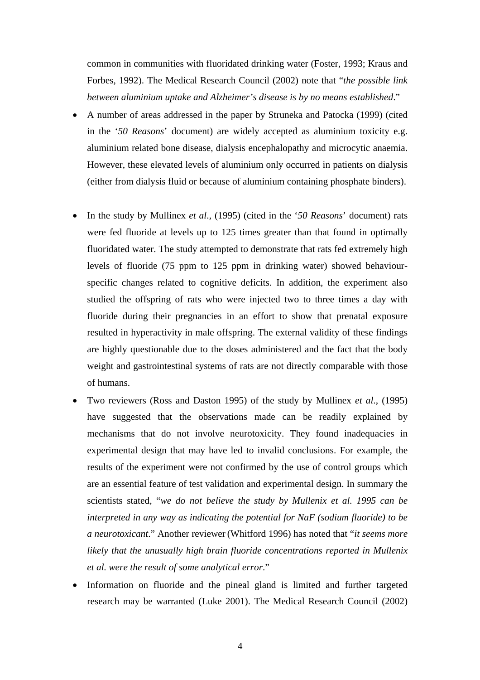common in communities with fluoridated drinking water (Foster, 1993; Kraus and Forbes, 1992). The Medical Research Council (2002) note that "*the possible link between aluminium uptake and Alzheimer's disease is by no means established*."

- A number of areas addressed in the paper by Struneka and Patocka (1999) (cited in the '*50 Reasons*' document) are widely accepted as aluminium toxicity e.g. aluminium related bone disease, dialysis encephalopathy and microcytic anaemia. However, these elevated levels of aluminium only occurred in patients on dialysis (either from dialysis fluid or because of aluminium containing phosphate binders).
- In the study by Mullinex *et al*., (1995) (cited in the '*50 Reasons*' document) rats were fed fluoride at levels up to 125 times greater than that found in optimally fluoridated water. The study attempted to demonstrate that rats fed extremely high levels of fluoride (75 ppm to 125 ppm in drinking water) showed behaviourspecific changes related to cognitive deficits. In addition, the experiment also studied the offspring of rats who were injected two to three times a day with fluoride during their pregnancies in an effort to show that prenatal exposure resulted in hyperactivity in male offspring. The external validity of these findings are highly questionable due to the doses administered and the fact that the body weight and gastrointestinal systems of rats are not directly comparable with those of humans.
- Two reviewers (Ross and Daston 1995) of the study by Mullinex *et al*., (1995) have suggested that the observations made can be readily explained by mechanisms that do not involve neurotoxicity. They found inadequacies in experimental design that may have led to invalid conclusions. For example, the results of the experiment were not confirmed by the use of control groups which are an essential feature of test validation and experimental design. In summary the scientists stated, "*we do not believe the study by Mullenix et al. 1995 can be interpreted in any way as indicating the potential for NaF (sodium fluoride) to be a neurotoxicant*." Another reviewer (Whitford 1996) has noted that "*it seems more likely that the unusually high brain fluoride concentrations reported in Mullenix et al. were the result of some analytical error*."
- Information on fluoride and the pineal gland is limited and further targeted research may be warranted (Luke 2001). The Medical Research Council (2002)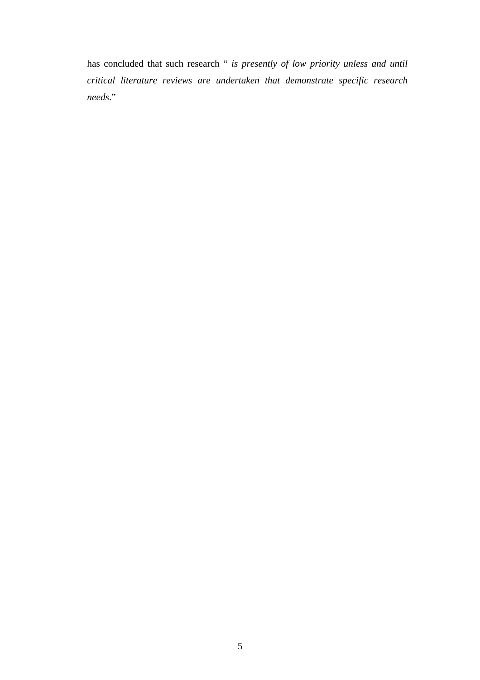has concluded that such research " *is presently of low priority unless and until critical literature reviews are undertaken that demonstrate specific research needs*."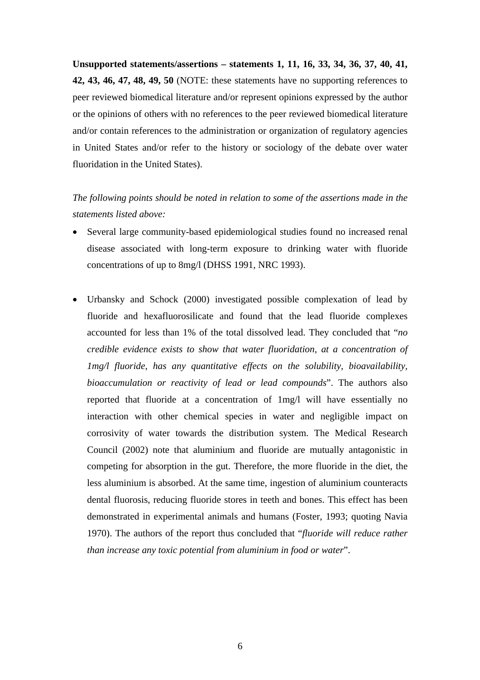**Unsupported statements/assertions – statements 1, 11, 16, 33, 34, 36, 37, 40, 41, 42, 43, 46, 47, 48, 49, 50** (NOTE: these statements have no supporting references to peer reviewed biomedical literature and/or represent opinions expressed by the author or the opinions of others with no references to the peer reviewed biomedical literature and/or contain references to the administration or organization of regulatory agencies in United States and/or refer to the history or sociology of the debate over water fluoridation in the United States).

*The following points should be noted in relation to some of the assertions made in the statements listed above:*

- Several large community-based epidemiological studies found no increased renal disease associated with long-term exposure to drinking water with fluoride concentrations of up to 8mg/l (DHSS 1991, NRC 1993).
- Urbansky and Schock (2000) investigated possible complexation of lead by fluoride and hexafluorosilicate and found that the lead fluoride complexes accounted for less than 1% of the total dissolved lead. They concluded that "*no credible evidence exists to show that water fluoridation, at a concentration of 1mg/l fluoride, has any quantitative effects on the solubility, bioavailability, bioaccumulation or reactivity of lead or lead compounds*". The authors also reported that fluoride at a concentration of 1mg/l will have essentially no interaction with other chemical species in water and negligible impact on corrosivity of water towards the distribution system. The Medical Research Council (2002) note that aluminium and fluoride are mutually antagonistic in competing for absorption in the gut. Therefore, the more fluoride in the diet, the less aluminium is absorbed. At the same time, ingestion of aluminium counteracts dental fluorosis, reducing fluoride stores in teeth and bones. This effect has been demonstrated in experimental animals and humans (Foster, 1993; quoting Navia 1970). The authors of the report thus concluded that "*fluoride will reduce rather than increase any toxic potential from aluminium in food or water*".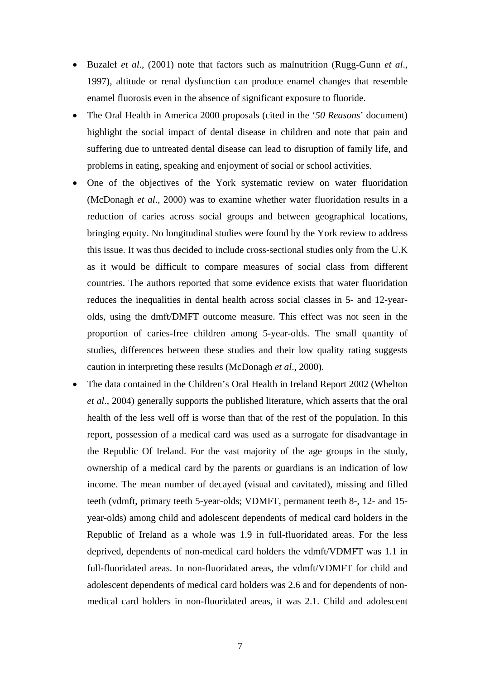- Buzalef *et al*., (2001) note that factors such as malnutrition (Rugg-Gunn *et al*., 1997), altitude or renal dysfunction can produce enamel changes that resemble enamel fluorosis even in the absence of significant exposure to fluoride.
- The Oral Health in America 2000 proposals (cited in the '*50 Reasons*' document) highlight the social impact of dental disease in children and note that pain and suffering due to untreated dental disease can lead to disruption of family life, and problems in eating, speaking and enjoyment of social or school activities.
- One of the objectives of the York systematic review on water fluoridation (McDonagh *et al*., 2000) was to examine whether water fluoridation results in a reduction of caries across social groups and between geographical locations, bringing equity. No longitudinal studies were found by the York review to address this issue. It was thus decided to include cross-sectional studies only from the U.K as it would be difficult to compare measures of social class from different countries. The authors reported that some evidence exists that water fluoridation reduces the inequalities in dental health across social classes in 5- and 12-yearolds, using the dmft/DMFT outcome measure. This effect was not seen in the proportion of caries-free children among 5-year-olds. The small quantity of studies, differences between these studies and their low quality rating suggests caution in interpreting these results (McDonagh *et al*., 2000).
- The data contained in the Children's Oral Health in Ireland Report 2002 (Whelton *et al*., 2004) generally supports the published literature, which asserts that the oral health of the less well off is worse than that of the rest of the population. In this report, possession of a medical card was used as a surrogate for disadvantage in the Republic Of Ireland. For the vast majority of the age groups in the study, ownership of a medical card by the parents or guardians is an indication of low income. The mean number of decayed (visual and cavitated), missing and filled teeth (vdmft, primary teeth 5-year-olds; VDMFT, permanent teeth 8-, 12- and 15 year-olds) among child and adolescent dependents of medical card holders in the Republic of Ireland as a whole was 1.9 in full-fluoridated areas. For the less deprived, dependents of non-medical card holders the vdmft/VDMFT was 1.1 in full-fluoridated areas. In non-fluoridated areas, the vdmft/VDMFT for child and adolescent dependents of medical card holders was 2.6 and for dependents of nonmedical card holders in non-fluoridated areas, it was 2.1. Child and adolescent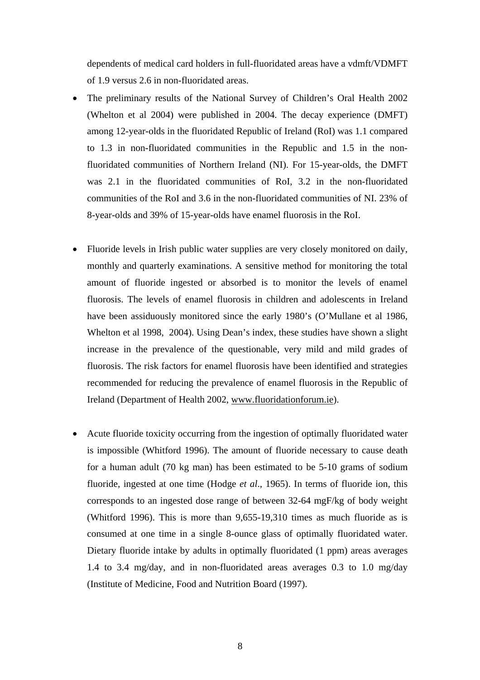dependents of medical card holders in full-fluoridated areas have a vdmft/VDMFT of 1.9 versus 2.6 in non-fluoridated areas.

- The preliminary results of the National Survey of Children's Oral Health 2002 (Whelton et al 2004) were published in 2004. The decay experience (DMFT) among 12-year-olds in the fluoridated Republic of Ireland (RoI) was 1.1 compared to 1.3 in non-fluoridated communities in the Republic and 1.5 in the nonfluoridated communities of Northern Ireland (NI). For 15-year-olds, the DMFT was 2.1 in the fluoridated communities of RoI, 3.2 in the non-fluoridated communities of the RoI and 3.6 in the non-fluoridated communities of NI. 23% of 8-year-olds and 39% of 15-year-olds have enamel fluorosis in the RoI.
- Fluoride levels in Irish public water supplies are very closely monitored on daily, monthly and quarterly examinations. A sensitive method for monitoring the total amount of fluoride ingested or absorbed is to monitor the levels of enamel fluorosis. The levels of enamel fluorosis in children and adolescents in Ireland have been assiduously monitored since the early 1980's (O'Mullane et al 1986, Whelton et al 1998, 2004). Using Dean's index, these studies have shown a slight increase in the prevalence of the questionable, very mild and mild grades of fluorosis. The risk factors for enamel fluorosis have been identified and strategies recommended for reducing the prevalence of enamel fluorosis in the Republic of Ireland (Department of Health 2002, www.fluoridationforum.ie).
- Acute fluoride toxicity occurring from the ingestion of optimally fluoridated water is impossible (Whitford 1996). The amount of fluoride necessary to cause death for a human adult (70 kg man) has been estimated to be 5-10 grams of sodium fluoride, ingested at one time (Hodge *et al*., 1965). In terms of fluoride ion, this corresponds to an ingested dose range of between 32-64 mgF/kg of body weight (Whitford 1996). This is more than 9,655-19,310 times as much fluoride as is consumed at one time in a single 8-ounce glass of optimally fluoridated water. Dietary fluoride intake by adults in optimally fluoridated (1 ppm) areas averages 1.4 to 3.4 mg/day, and in non-fluoridated areas averages 0.3 to 1.0 mg/day (Institute of Medicine, Food and Nutrition Board (1997).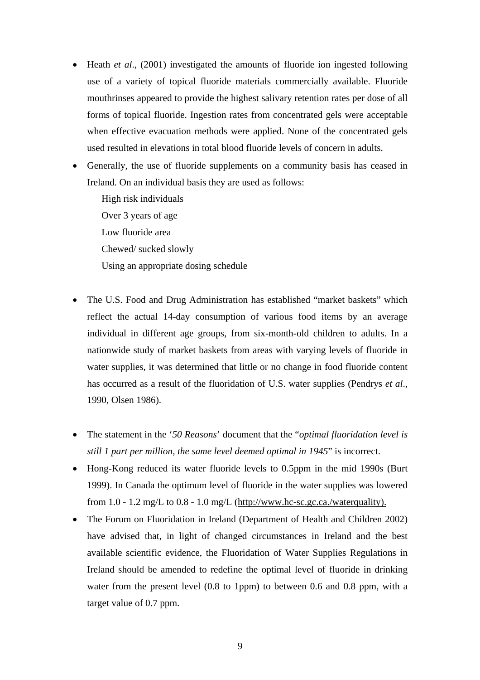- Heath *et al.*, (2001) investigated the amounts of fluoride ion ingested following use of a variety of topical fluoride materials commercially available. Fluoride mouthrinses appeared to provide the highest salivary retention rates per dose of all forms of topical fluoride. Ingestion rates from concentrated gels were acceptable when effective evacuation methods were applied. None of the concentrated gels used resulted in elevations in total blood fluoride levels of concern in adults.
- Generally, the use of fluoride supplements on a community basis has ceased in Ireland. On an individual basis they are used as follows:

High risk individuals Over 3 years of age Low fluoride area Chewed/ sucked slowly Using an appropriate dosing schedule

- The U.S. Food and Drug Administration has established "market baskets" which reflect the actual 14-day consumption of various food items by an average individual in different age groups, from six-month-old children to adults. In a nationwide study of market baskets from areas with varying levels of fluoride in water supplies, it was determined that little or no change in food fluoride content has occurred as a result of the fluoridation of U.S. water supplies (Pendrys *et al*., 1990, Olsen 1986).
- The statement in the '*50 Reasons*' document that the "*optimal fluoridation level is still 1 part per million, the same level deemed optimal in 1945*" is incorrect.
- Hong-Kong reduced its water fluoride levels to 0.5ppm in the mid 1990s (Burt 1999). In Canada the optimum level of fluoride in the water supplies was lowered from  $1.0 - 1.2$  mg/L to  $0.8 - 1.0$  mg/L (http://www.hc-sc.gc.ca./waterquality).
- The Forum on Fluoridation in Ireland (Department of Health and Children 2002) have advised that, in light of changed circumstances in Ireland and the best available scientific evidence, the Fluoridation of Water Supplies Regulations in Ireland should be amended to redefine the optimal level of fluoride in drinking water from the present level (0.8 to 1ppm) to between 0.6 and 0.8 ppm, with a target value of 0.7 ppm.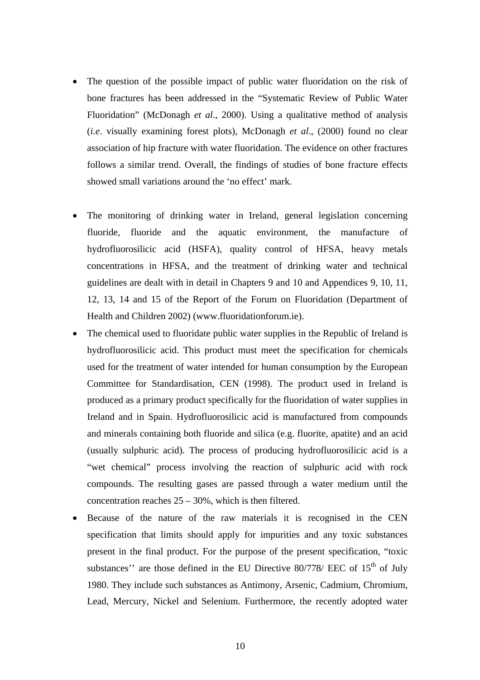- The question of the possible impact of public water fluoridation on the risk of bone fractures has been addressed in the "Systematic Review of Public Water Fluoridation" (McDonagh *et al*., 2000). Using a qualitative method of analysis (*i.e*. visually examining forest plots), McDonagh *et al*., (2000) found no clear association of hip fracture with water fluoridation. The evidence on other fractures follows a similar trend. Overall, the findings of studies of bone fracture effects showed small variations around the 'no effect' mark.
- The monitoring of drinking water in Ireland, general legislation concerning fluoride, fluoride and the aquatic environment, the manufacture of hydrofluorosilicic acid (HSFA), quality control of HFSA, heavy metals concentrations in HFSA, and the treatment of drinking water and technical guidelines are dealt with in detail in Chapters 9 and 10 and Appendices 9, 10, 11, 12, 13, 14 and 15 of the Report of the Forum on Fluoridation (Department of Health and Children 2002) (www.fluoridationforum.ie).
- The chemical used to fluoridate public water supplies in the Republic of Ireland is hydrofluorosilicic acid. This product must meet the specification for chemicals used for the treatment of water intended for human consumption by the European Committee for Standardisation, CEN (1998). The product used in Ireland is produced as a primary product specifically for the fluoridation of water supplies in Ireland and in Spain. Hydrofluorosilicic acid is manufactured from compounds and minerals containing both fluoride and silica (e.g. fluorite, apatite) and an acid (usually sulphuric acid). The process of producing hydrofluorosilicic acid is a "wet chemical" process involving the reaction of sulphuric acid with rock compounds. The resulting gases are passed through a water medium until the concentration reaches  $25 - 30\%$ , which is then filtered.
- Because of the nature of the raw materials it is recognised in the CEN specification that limits should apply for impurities and any toxic substances present in the final product. For the purpose of the present specification, "toxic substances'' are those defined in the EU Directive  $80/778$ / EEC of  $15<sup>th</sup>$  of July 1980. They include such substances as Antimony, Arsenic, Cadmium, Chromium, Lead, Mercury, Nickel and Selenium. Furthermore, the recently adopted water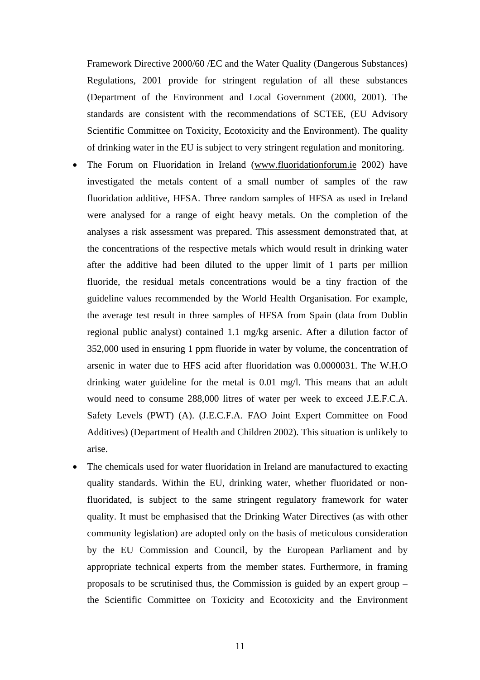Framework Directive 2000/60 /EC and the Water Quality (Dangerous Substances) Regulations, 2001 provide for stringent regulation of all these substances (Department of the Environment and Local Government (2000, 2001). The standards are consistent with the recommendations of SCTEE, (EU Advisory Scientific Committee on Toxicity, Ecotoxicity and the Environment). The quality of drinking water in the EU is subject to very stringent regulation and monitoring.

- The Forum on Fluoridation in Ireland (www.fluoridationforum.ie 2002) have investigated the metals content of a small number of samples of the raw fluoridation additive, HFSA. Three random samples of HFSA as used in Ireland were analysed for a range of eight heavy metals. On the completion of the analyses a risk assessment was prepared. This assessment demonstrated that, at the concentrations of the respective metals which would result in drinking water after the additive had been diluted to the upper limit of 1 parts per million fluoride, the residual metals concentrations would be a tiny fraction of the guideline values recommended by the World Health Organisation. For example, the average test result in three samples of HFSA from Spain (data from Dublin regional public analyst) contained 1.1 mg/kg arsenic. After a dilution factor of 352,000 used in ensuring 1 ppm fluoride in water by volume, the concentration of arsenic in water due to HFS acid after fluoridation was 0.0000031. The W.H.O drinking water guideline for the metal is 0.01 mg/l. This means that an adult would need to consume 288,000 litres of water per week to exceed J.E.F.C.A. Safety Levels (PWT) (A). (J.E.C.F.A. FAO Joint Expert Committee on Food Additives) (Department of Health and Children 2002). This situation is unlikely to arise.
- The chemicals used for water fluoridation in Ireland are manufactured to exacting quality standards. Within the EU, drinking water, whether fluoridated or nonfluoridated, is subject to the same stringent regulatory framework for water quality. It must be emphasised that the Drinking Water Directives (as with other community legislation) are adopted only on the basis of meticulous consideration by the EU Commission and Council, by the European Parliament and by appropriate technical experts from the member states. Furthermore, in framing proposals to be scrutinised thus, the Commission is guided by an expert group – the Scientific Committee on Toxicity and Ecotoxicity and the Environment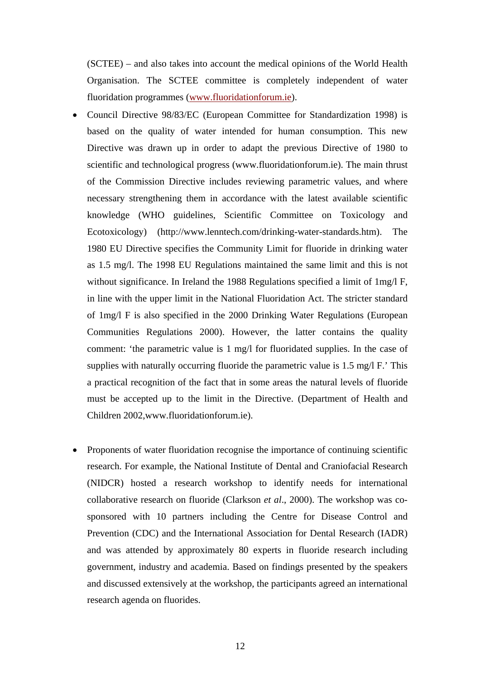(SCTEE) – and also takes into account the medical opinions of the World Health Organisation. The SCTEE committee is completely independent of water fluoridation programmes (www.fluoridationforum.ie).

- Council Directive 98/83/EC (European Committee for Standardization 1998) is based on the quality of water intended for human consumption. This new Directive was drawn up in order to adapt the previous Directive of 1980 to scientific and technological progress (www.fluoridationforum.ie). The main thrust of the Commission Directive includes reviewing parametric values, and where necessary strengthening them in accordance with the latest available scientific knowledge (WHO guidelines, Scientific Committee on Toxicology and Ecotoxicology) (http://www.lenntech.com/drinking-water-standards.htm). The 1980 EU Directive specifies the Community Limit for fluoride in drinking water as 1.5 mg/l. The 1998 EU Regulations maintained the same limit and this is not without significance. In Ireland the 1988 Regulations specified a limit of 1mg/l F, in line with the upper limit in the National Fluoridation Act. The stricter standard of 1mg/l F is also specified in the 2000 Drinking Water Regulations (European Communities Regulations 2000). However, the latter contains the quality comment: 'the parametric value is 1 mg/l for fluoridated supplies. In the case of supplies with naturally occurring fluoride the parametric value is 1.5 mg/l F.' This a practical recognition of the fact that in some areas the natural levels of fluoride must be accepted up to the limit in the Directive. (Department of Health and Children 2002,www.fluoridationforum.ie).
- Proponents of water fluoridation recognise the importance of continuing scientific research. For example, the National Institute of Dental and Craniofacial Research (NIDCR) hosted a research workshop to identify needs for international collaborative research on fluoride (Clarkson *et al*., 2000). The workshop was cosponsored with 10 partners including the Centre for Disease Control and Prevention (CDC) and the International Association for Dental Research (IADR) and was attended by approximately 80 experts in fluoride research including government, industry and academia. Based on findings presented by the speakers and discussed extensively at the workshop, the participants agreed an international research agenda on fluorides.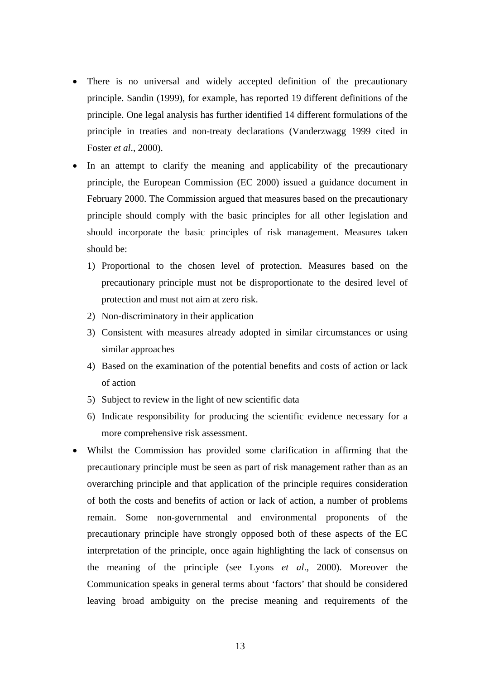- There is no universal and widely accepted definition of the precautionary principle. Sandin (1999), for example, has reported 19 different definitions of the principle. One legal analysis has further identified 14 different formulations of the principle in treaties and non-treaty declarations (Vanderzwagg 1999 cited in Foster *et al*., 2000).
- In an attempt to clarify the meaning and applicability of the precautionary principle, the European Commission (EC 2000) issued a guidance document in February 2000. The Commission argued that measures based on the precautionary principle should comply with the basic principles for all other legislation and should incorporate the basic principles of risk management. Measures taken should be:
	- 1) Proportional to the chosen level of protection. Measures based on the precautionary principle must not be disproportionate to the desired level of protection and must not aim at zero risk.
	- 2) Non-discriminatory in their application
	- 3) Consistent with measures already adopted in similar circumstances or using similar approaches
	- 4) Based on the examination of the potential benefits and costs of action or lack of action
	- 5) Subject to review in the light of new scientific data
	- 6) Indicate responsibility for producing the scientific evidence necessary for a more comprehensive risk assessment.
- Whilst the Commission has provided some clarification in affirming that the precautionary principle must be seen as part of risk management rather than as an overarching principle and that application of the principle requires consideration of both the costs and benefits of action or lack of action, a number of problems remain. Some non-governmental and environmental proponents of the precautionary principle have strongly opposed both of these aspects of the EC interpretation of the principle, once again highlighting the lack of consensus on the meaning of the principle (see Lyons *et al*., 2000). Moreover the Communication speaks in general terms about 'factors' that should be considered leaving broad ambiguity on the precise meaning and requirements of the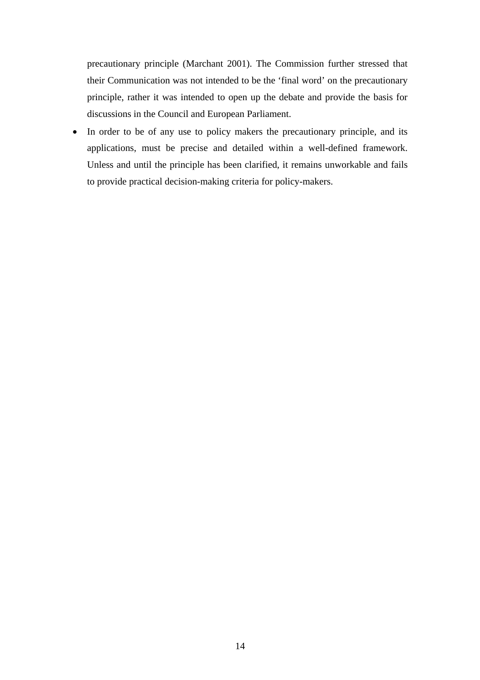precautionary principle (Marchant 2001). The Commission further stressed that their Communication was not intended to be the 'final word' on the precautionary principle, rather it was intended to open up the debate and provide the basis for discussions in the Council and European Parliament.

• In order to be of any use to policy makers the precautionary principle, and its applications, must be precise and detailed within a well-defined framework. Unless and until the principle has been clarified, it remains unworkable and fails to provide practical decision-making criteria for policy-makers.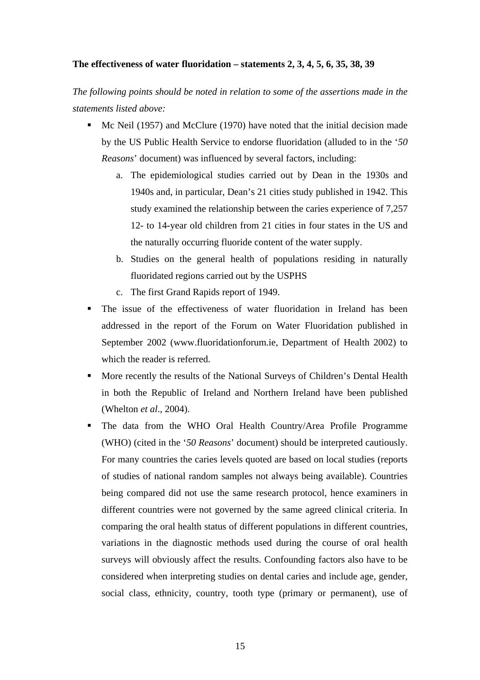# **The effectiveness of water fluoridation – statements 2, 3, 4, 5, 6, 35, 38, 39**

*The following points should be noted in relation to some of the assertions made in the statements listed above:*

- Mc Neil (1957) and McClure (1970) have noted that the initial decision made by the US Public Health Service to endorse fluoridation (alluded to in the '*50 Reasons*' document) was influenced by several factors, including:
	- a. The epidemiological studies carried out by Dean in the 1930s and 1940s and, in particular, Dean's 21 cities study published in 1942. This study examined the relationship between the caries experience of 7,257 12- to 14-year old children from 21 cities in four states in the US and the naturally occurring fluoride content of the water supply.
	- b. Studies on the general health of populations residing in naturally fluoridated regions carried out by the USPHS
	- c. The first Grand Rapids report of 1949.
- The issue of the effectiveness of water fluoridation in Ireland has been addressed in the report of the Forum on Water Fluoridation published in September 2002 (www.fluoridationforum.ie, Department of Health 2002) to which the reader is referred.
- More recently the results of the National Surveys of Children's Dental Health in both the Republic of Ireland and Northern Ireland have been published (Whelton *et al*., 2004).
- The data from the WHO Oral Health Country/Area Profile Programme (WHO) (cited in the '*50 Reasons*' document) should be interpreted cautiously. For many countries the caries levels quoted are based on local studies (reports of studies of national random samples not always being available). Countries being compared did not use the same research protocol, hence examiners in different countries were not governed by the same agreed clinical criteria. In comparing the oral health status of different populations in different countries, variations in the diagnostic methods used during the course of oral health surveys will obviously affect the results. Confounding factors also have to be considered when interpreting studies on dental caries and include age, gender, social class, ethnicity, country, tooth type (primary or permanent), use of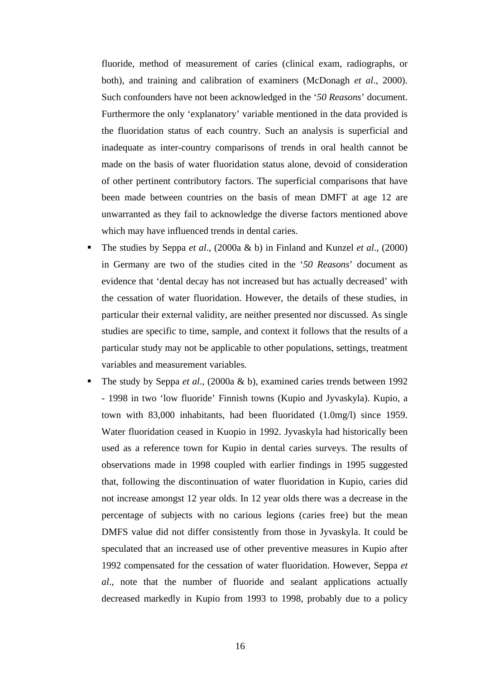fluoride, method of measurement of caries (clinical exam, radiographs, or both), and training and calibration of examiners (McDonagh *et al*., 2000). Such confounders have not been acknowledged in the '*50 Reasons*' document. Furthermore the only 'explanatory' variable mentioned in the data provided is the fluoridation status of each country. Such an analysis is superficial and inadequate as inter-country comparisons of trends in oral health cannot be made on the basis of water fluoridation status alone, devoid of consideration of other pertinent contributory factors. The superficial comparisons that have been made between countries on the basis of mean DMFT at age 12 are unwarranted as they fail to acknowledge the diverse factors mentioned above which may have influenced trends in dental caries.

- The studies by Seppa *et al*., (2000a & b) in Finland and Kunzel *et al*., (2000) in Germany are two of the studies cited in the '*50 Reasons*' document as evidence that 'dental decay has not increased but has actually decreased' with the cessation of water fluoridation. However, the details of these studies, in particular their external validity, are neither presented nor discussed. As single studies are specific to time, sample, and context it follows that the results of a particular study may not be applicable to other populations, settings, treatment variables and measurement variables.
- The study by Seppa *et al*., (2000a & b), examined caries trends between 1992 - 1998 in two 'low fluoride' Finnish towns (Kupio and Jyvaskyla). Kupio, a town with 83,000 inhabitants, had been fluoridated (1.0mg/l) since 1959. Water fluoridation ceased in Kuopio in 1992. Jyvaskyla had historically been used as a reference town for Kupio in dental caries surveys. The results of observations made in 1998 coupled with earlier findings in 1995 suggested that, following the discontinuation of water fluoridation in Kupio, caries did not increase amongst 12 year olds. In 12 year olds there was a decrease in the percentage of subjects with no carious legions (caries free) but the mean DMFS value did not differ consistently from those in Jyvaskyla. It could be speculated that an increased use of other preventive measures in Kupio after 1992 compensated for the cessation of water fluoridation. However, Seppa *et al*., note that the number of fluoride and sealant applications actually decreased markedly in Kupio from 1993 to 1998, probably due to a policy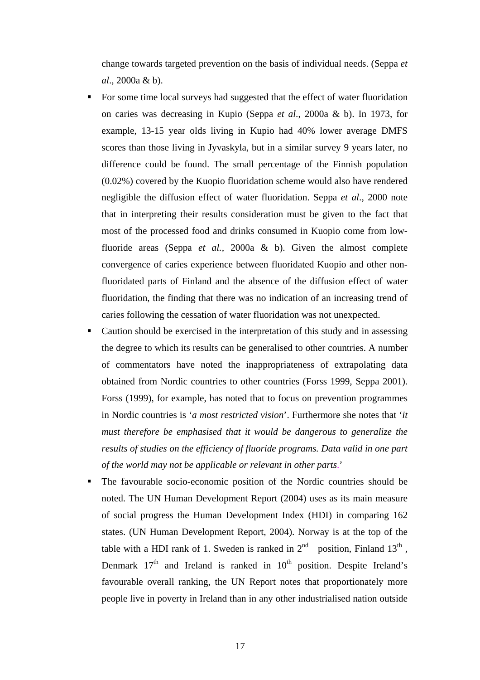change towards targeted prevention on the basis of individual needs. (Seppa *et al*., 2000a & b).

- For some time local surveys had suggested that the effect of water fluoridation on caries was decreasing in Kupio (Seppa *et al*., 2000a & b). In 1973, for example, 13-15 year olds living in Kupio had 40% lower average DMFS scores than those living in Jyvaskyla, but in a similar survey 9 years later, no difference could be found. The small percentage of the Finnish population (0.02%) covered by the Kuopio fluoridation scheme would also have rendered negligible the diffusion effect of water fluoridation. Seppa *et al*., 2000 note that in interpreting their results consideration must be given to the fact that most of the processed food and drinks consumed in Kuopio come from lowfluoride areas (Seppa *et al.,* 2000a & b). Given the almost complete convergence of caries experience between fluoridated Kuopio and other nonfluoridated parts of Finland and the absence of the diffusion effect of water fluoridation, the finding that there was no indication of an increasing trend of caries following the cessation of water fluoridation was not unexpected.
- Caution should be exercised in the interpretation of this study and in assessing the degree to which its results can be generalised to other countries. A number of commentators have noted the inappropriateness of extrapolating data obtained from Nordic countries to other countries (Forss 1999, Seppa 2001). Forss (1999), for example, has noted that to focus on prevention programmes in Nordic countries is '*a most restricted vision*'. Furthermore she notes that '*it must therefore be emphasised that it would be dangerous to generalize the results of studies on the efficiency of fluoride programs. Data valid in one part of the world may not be applicable or relevant in other parts*.'
- The favourable socio-economic position of the Nordic countries should be noted. The UN Human Development Report (2004) uses as its main measure of social progress the Human Development Index (HDI) in comparing 162 states. (UN Human Development Report, 2004). Norway is at the top of the table with a HDI rank of 1. Sweden is ranked in  $2<sup>nd</sup>$  position, Finland  $13<sup>th</sup>$ , Denmark  $17<sup>th</sup>$  and Ireland is ranked in  $10<sup>th</sup>$  position. Despite Ireland's favourable overall ranking, the UN Report notes that proportionately more people live in poverty in Ireland than in any other industrialised nation outside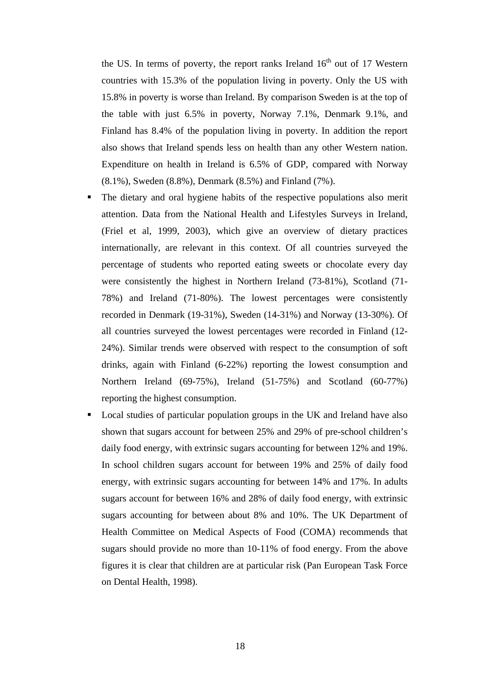the US. In terms of poverty, the report ranks Ireland  $16<sup>th</sup>$  out of 17 Western countries with 15.3% of the population living in poverty. Only the US with 15.8% in poverty is worse than Ireland. By comparison Sweden is at the top of the table with just 6.5% in poverty, Norway 7.1%, Denmark 9.1%, and Finland has 8.4% of the population living in poverty. In addition the report also shows that Ireland spends less on health than any other Western nation. Expenditure on health in Ireland is 6.5% of GDP, compared with Norway (8.1%), Sweden (8.8%), Denmark (8.5%) and Finland (7%).

- The dietary and oral hygiene habits of the respective populations also merit attention. Data from the National Health and Lifestyles Surveys in Ireland, (Friel et al, 1999, 2003), which give an overview of dietary practices internationally, are relevant in this context. Of all countries surveyed the percentage of students who reported eating sweets or chocolate every day were consistently the highest in Northern Ireland (73-81%), Scotland (71- 78%) and Ireland (71-80%). The lowest percentages were consistently recorded in Denmark (19-31%), Sweden (14-31%) and Norway (13-30%). Of all countries surveyed the lowest percentages were recorded in Finland (12- 24%). Similar trends were observed with respect to the consumption of soft drinks, again with Finland (6-22%) reporting the lowest consumption and Northern Ireland (69-75%), Ireland (51-75%) and Scotland (60-77%) reporting the highest consumption.
- Local studies of particular population groups in the UK and Ireland have also shown that sugars account for between 25% and 29% of pre-school children's daily food energy, with extrinsic sugars accounting for between 12% and 19%. In school children sugars account for between 19% and 25% of daily food energy, with extrinsic sugars accounting for between 14% and 17%. In adults sugars account for between 16% and 28% of daily food energy, with extrinsic sugars accounting for between about 8% and 10%. The UK Department of Health Committee on Medical Aspects of Food (COMA) recommends that sugars should provide no more than 10-11% of food energy. From the above figures it is clear that children are at particular risk (Pan European Task Force on Dental Health, 1998).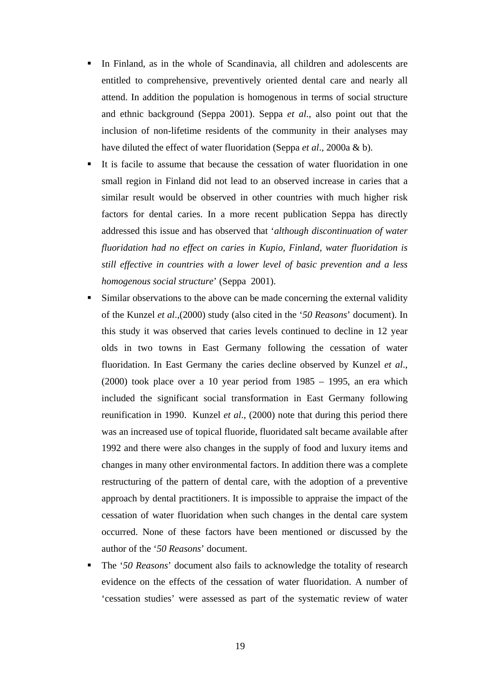- In Finland, as in the whole of Scandinavia, all children and adolescents are entitled to comprehensive, preventively oriented dental care and nearly all attend. In addition the population is homogenous in terms of social structure and ethnic background (Seppa 2001). Seppa *et al*., also point out that the inclusion of non-lifetime residents of the community in their analyses may have diluted the effect of water fluoridation (Seppa *et al*., 2000a & b).
- It is facile to assume that because the cessation of water fluoridation in one small region in Finland did not lead to an observed increase in caries that a similar result would be observed in other countries with much higher risk factors for dental caries. In a more recent publication Seppa has directly addressed this issue and has observed that '*although discontinuation of water fluoridation had no effect on caries in Kupio, Finland, water fluoridation is still effective in countries with a lower level of basic prevention and a less homogenous social structure*' (Seppa 2001).
- Similar observations to the above can be made concerning the external validity of the Kunzel *et al*.,(2000) study (also cited in the '*50 Reasons*' document). In this study it was observed that caries levels continued to decline in 12 year olds in two towns in East Germany following the cessation of water fluoridation. In East Germany the caries decline observed by Kunzel *et al*., (2000) took place over a 10 year period from 1985 – 1995, an era which included the significant social transformation in East Germany following reunification in 1990. Kunzel *et al*., (2000) note that during this period there was an increased use of topical fluoride, fluoridated salt became available after 1992 and there were also changes in the supply of food and luxury items and changes in many other environmental factors. In addition there was a complete restructuring of the pattern of dental care, with the adoption of a preventive approach by dental practitioners. It is impossible to appraise the impact of the cessation of water fluoridation when such changes in the dental care system occurred. None of these factors have been mentioned or discussed by the author of the '*50 Reasons*' document.
- The '*50 Reasons*' document also fails to acknowledge the totality of research evidence on the effects of the cessation of water fluoridation. A number of 'cessation studies' were assessed as part of the systematic review of water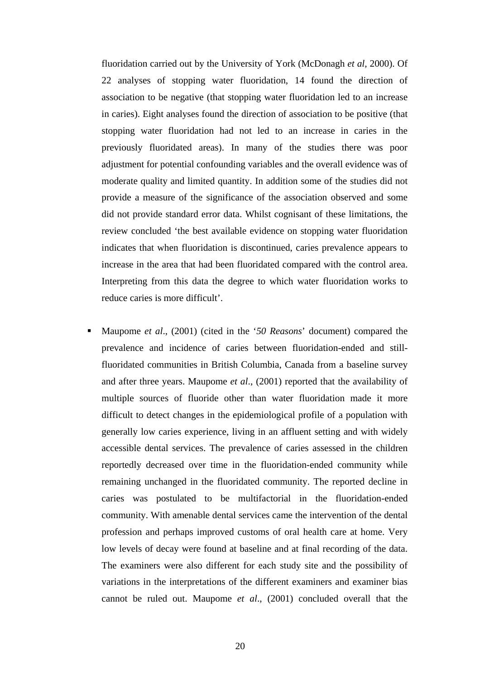fluoridation carried out by the University of York (McDonagh *et al*, 2000). Of 22 analyses of stopping water fluoridation, 14 found the direction of association to be negative (that stopping water fluoridation led to an increase in caries). Eight analyses found the direction of association to be positive (that stopping water fluoridation had not led to an increase in caries in the previously fluoridated areas). In many of the studies there was poor adjustment for potential confounding variables and the overall evidence was of moderate quality and limited quantity. In addition some of the studies did not provide a measure of the significance of the association observed and some did not provide standard error data. Whilst cognisant of these limitations, the review concluded 'the best available evidence on stopping water fluoridation indicates that when fluoridation is discontinued, caries prevalence appears to increase in the area that had been fluoridated compared with the control area. Interpreting from this data the degree to which water fluoridation works to reduce caries is more difficult'.

 Maupome *et al*., (2001) (cited in the '*50 Reasons*' document) compared the prevalence and incidence of caries between fluoridation-ended and stillfluoridated communities in British Columbia, Canada from a baseline survey and after three years. Maupome *et al*., (2001) reported that the availability of multiple sources of fluoride other than water fluoridation made it more difficult to detect changes in the epidemiological profile of a population with generally low caries experience, living in an affluent setting and with widely accessible dental services. The prevalence of caries assessed in the children reportedly decreased over time in the fluoridation-ended community while remaining unchanged in the fluoridated community. The reported decline in caries was postulated to be multifactorial in the fluoridation-ended community. With amenable dental services came the intervention of the dental profession and perhaps improved customs of oral health care at home. Very low levels of decay were found at baseline and at final recording of the data. The examiners were also different for each study site and the possibility of variations in the interpretations of the different examiners and examiner bias cannot be ruled out. Maupome *et al*., (2001) concluded overall that the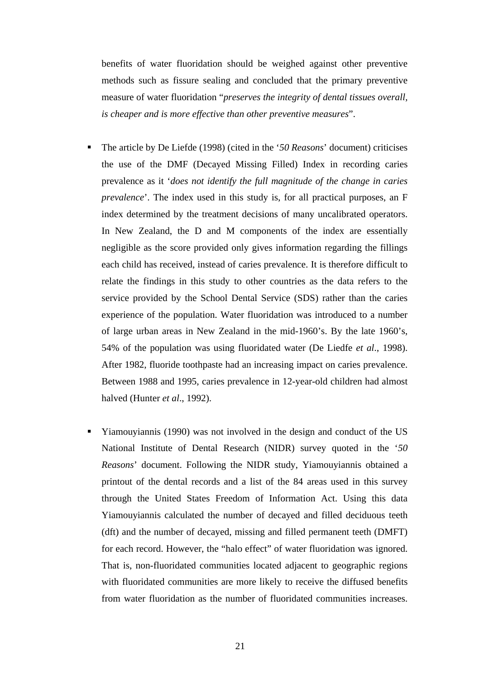benefits of water fluoridation should be weighed against other preventive methods such as fissure sealing and concluded that the primary preventive measure of water fluoridation "*preserves the integrity of dental tissues overall, is cheaper and is more effective than other preventive measures*".

- The article by De Liefde (1998) (cited in the '*50 Reasons*' document) criticises the use of the DMF (Decayed Missing Filled) Index in recording caries prevalence as it '*does not identify the full magnitude of the change in caries prevalence*'. The index used in this study is, for all practical purposes, an F index determined by the treatment decisions of many uncalibrated operators. In New Zealand, the D and M components of the index are essentially negligible as the score provided only gives information regarding the fillings each child has received, instead of caries prevalence. It is therefore difficult to relate the findings in this study to other countries as the data refers to the service provided by the School Dental Service (SDS) rather than the caries experience of the population. Water fluoridation was introduced to a number of large urban areas in New Zealand in the mid-1960's. By the late 1960's, 54% of the population was using fluoridated water (De Liedfe *et al*., 1998). After 1982, fluoride toothpaste had an increasing impact on caries prevalence. Between 1988 and 1995, caries prevalence in 12-year-old children had almost halved (Hunter *et al*., 1992).
- Yiamouyiannis (1990) was not involved in the design and conduct of the US National Institute of Dental Research (NIDR) survey quoted in the '*50 Reasons*' document. Following the NIDR study, Yiamouyiannis obtained a printout of the dental records and a list of the 84 areas used in this survey through the United States Freedom of Information Act. Using this data Yiamouyiannis calculated the number of decayed and filled deciduous teeth (dft) and the number of decayed, missing and filled permanent teeth (DMFT) for each record. However, the "halo effect" of water fluoridation was ignored. That is, non-fluoridated communities located adjacent to geographic regions with fluoridated communities are more likely to receive the diffused benefits from water fluoridation as the number of fluoridated communities increases.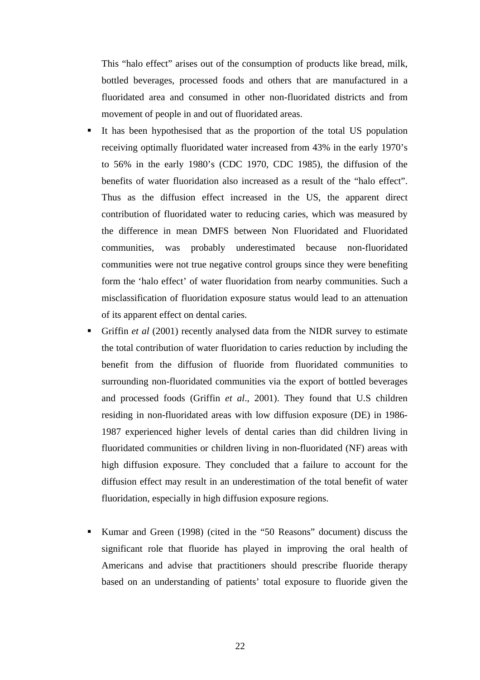This "halo effect" arises out of the consumption of products like bread, milk, bottled beverages, processed foods and others that are manufactured in a fluoridated area and consumed in other non-fluoridated districts and from movement of people in and out of fluoridated areas.

- It has been hypothesised that as the proportion of the total US population receiving optimally fluoridated water increased from 43% in the early 1970's to 56% in the early 1980's (CDC 1970, CDC 1985), the diffusion of the benefits of water fluoridation also increased as a result of the "halo effect". Thus as the diffusion effect increased in the US, the apparent direct contribution of fluoridated water to reducing caries, which was measured by the difference in mean DMFS between Non Fluoridated and Fluoridated communities, was probably underestimated because non-fluoridated communities were not true negative control groups since they were benefiting form the 'halo effect' of water fluoridation from nearby communities. Such a misclassification of fluoridation exposure status would lead to an attenuation of its apparent effect on dental caries.
- Griffin *et al* (2001) recently analysed data from the NIDR survey to estimate the total contribution of water fluoridation to caries reduction by including the benefit from the diffusion of fluoride from fluoridated communities to surrounding non-fluoridated communities via the export of bottled beverages and processed foods (Griffin *et al*., 2001). They found that U.S children residing in non-fluoridated areas with low diffusion exposure (DE) in 1986- 1987 experienced higher levels of dental caries than did children living in fluoridated communities or children living in non-fluoridated (NF) areas with high diffusion exposure. They concluded that a failure to account for the diffusion effect may result in an underestimation of the total benefit of water fluoridation, especially in high diffusion exposure regions.
- Kumar and Green (1998) (cited in the "50 Reasons" document) discuss the significant role that fluoride has played in improving the oral health of Americans and advise that practitioners should prescribe fluoride therapy based on an understanding of patients' total exposure to fluoride given the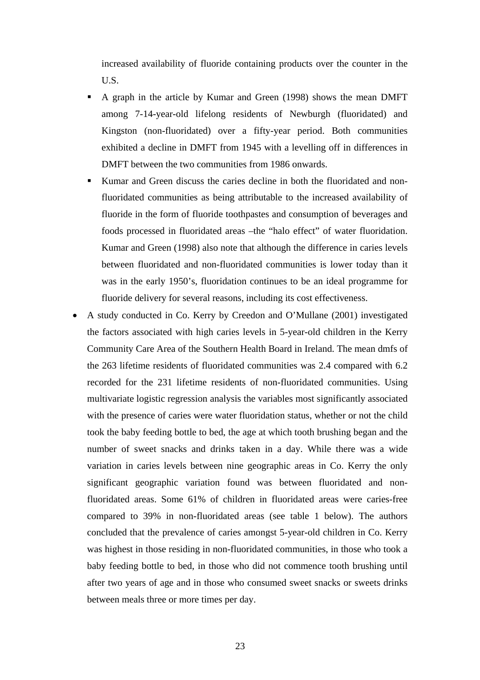increased availability of fluoride containing products over the counter in the U.S.

- A graph in the article by Kumar and Green (1998) shows the mean DMFT among 7-14-year-old lifelong residents of Newburgh (fluoridated) and Kingston (non-fluoridated) over a fifty-year period. Both communities exhibited a decline in DMFT from 1945 with a levelling off in differences in DMFT between the two communities from 1986 onwards.
- Kumar and Green discuss the caries decline in both the fluoridated and nonfluoridated communities as being attributable to the increased availability of fluoride in the form of fluoride toothpastes and consumption of beverages and foods processed in fluoridated areas –the "halo effect" of water fluoridation. Kumar and Green (1998) also note that although the difference in caries levels between fluoridated and non-fluoridated communities is lower today than it was in the early 1950's, fluoridation continues to be an ideal programme for fluoride delivery for several reasons, including its cost effectiveness.
- A study conducted in Co. Kerry by Creedon and O'Mullane (2001) investigated the factors associated with high caries levels in 5-year-old children in the Kerry Community Care Area of the Southern Health Board in Ireland. The mean dmfs of the 263 lifetime residents of fluoridated communities was 2.4 compared with 6.2 recorded for the 231 lifetime residents of non-fluoridated communities. Using multivariate logistic regression analysis the variables most significantly associated with the presence of caries were water fluoridation status, whether or not the child took the baby feeding bottle to bed, the age at which tooth brushing began and the number of sweet snacks and drinks taken in a day. While there was a wide variation in caries levels between nine geographic areas in Co. Kerry the only significant geographic variation found was between fluoridated and nonfluoridated areas. Some 61% of children in fluoridated areas were caries-free compared to 39% in non-fluoridated areas (see table 1 below). The authors concluded that the prevalence of caries amongst 5-year-old children in Co. Kerry was highest in those residing in non-fluoridated communities, in those who took a baby feeding bottle to bed, in those who did not commence tooth brushing until after two years of age and in those who consumed sweet snacks or sweets drinks between meals three or more times per day.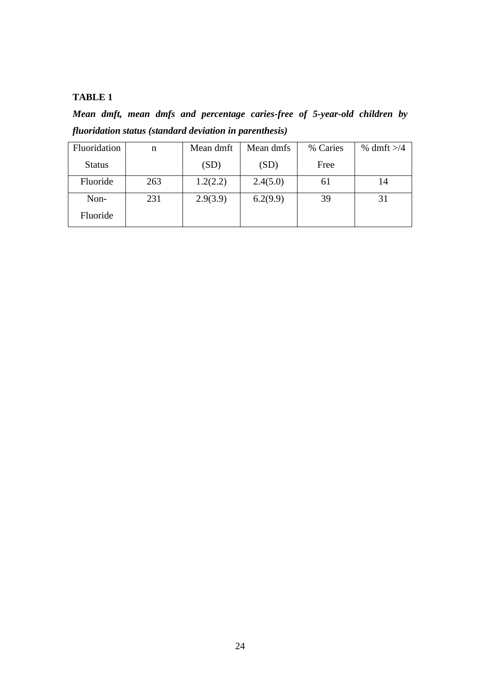# **TABLE 1**

*Mean dmft, mean dmfs and percentage caries-free of 5-year-old children by fluoridation status (standard deviation in parenthesis)* 

| Fluoridation  | n   | Mean dmft | Mean dmfs | % Caries | % dmft $>1/4$ |
|---------------|-----|-----------|-----------|----------|---------------|
| <b>Status</b> |     | (SD)      | (SD)      | Free     |               |
| Fluoride      | 263 | 1.2(2.2)  | 2.4(5.0)  | 61       | 14            |
| Non-          | 231 | 2.9(3.9)  | 6.2(9.9)  | 39       | 31            |
| Fluoride      |     |           |           |          |               |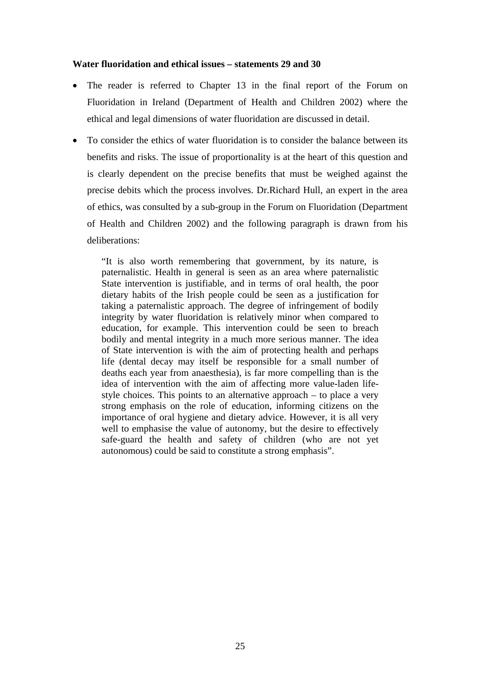### **Water fluoridation and ethical issues – statements 29 and 30**

- The reader is referred to Chapter 13 in the final report of the Forum on Fluoridation in Ireland (Department of Health and Children 2002) where the ethical and legal dimensions of water fluoridation are discussed in detail.
- To consider the ethics of water fluoridation is to consider the balance between its benefits and risks. The issue of proportionality is at the heart of this question and is clearly dependent on the precise benefits that must be weighed against the precise debits which the process involves. Dr.Richard Hull, an expert in the area of ethics, was consulted by a sub-group in the Forum on Fluoridation (Department of Health and Children 2002) and the following paragraph is drawn from his deliberations:

"It is also worth remembering that government, by its nature, is paternalistic. Health in general is seen as an area where paternalistic State intervention is justifiable, and in terms of oral health, the poor dietary habits of the Irish people could be seen as a justification for taking a paternalistic approach. The degree of infringement of bodily integrity by water fluoridation is relatively minor when compared to education, for example. This intervention could be seen to breach bodily and mental integrity in a much more serious manner. The idea of State intervention is with the aim of protecting health and perhaps life (dental decay may itself be responsible for a small number of deaths each year from anaesthesia), is far more compelling than is the idea of intervention with the aim of affecting more value-laden lifestyle choices. This points to an alternative approach – to place a very strong emphasis on the role of education, informing citizens on the importance of oral hygiene and dietary advice. However, it is all very well to emphasise the value of autonomy, but the desire to effectively safe-guard the health and safety of children (who are not yet autonomous) could be said to constitute a strong emphasis".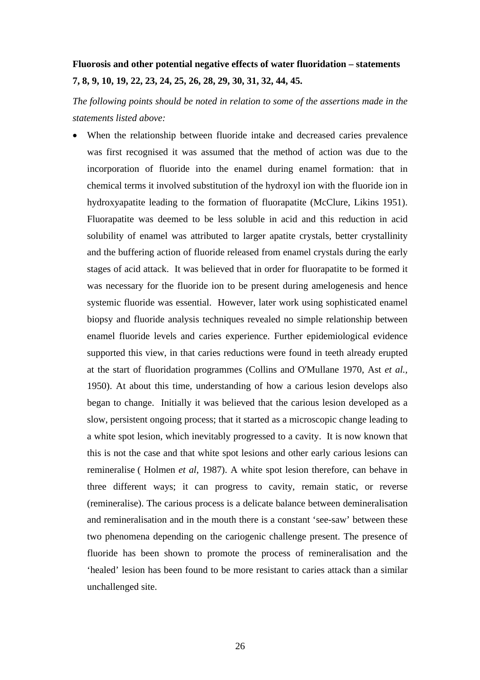# **Fluorosis and other potential negative effects of water fluoridation – statements 7, 8, 9, 10, 19, 22, 23, 24, 25, 26, 28, 29, 30, 31, 32, 44, 45.**

*The following points should be noted in relation to some of the assertions made in the statements listed above:* 

• When the relationship between fluoride intake and decreased caries prevalence was first recognised it was assumed that the method of action was due to the incorporation of fluoride into the enamel during enamel formation: that in chemical terms it involved substitution of the hydroxyl ion with the fluoride ion in hydroxyapatite leading to the formation of fluorapatite (McClure, Likins 1951). Fluorapatite was deemed to be less soluble in acid and this reduction in acid solubility of enamel was attributed to larger apatite crystals, better crystallinity and the buffering action of fluoride released from enamel crystals during the early stages of acid attack. It was believed that in order for fluorapatite to be formed it was necessary for the fluoride ion to be present during amelogenesis and hence systemic fluoride was essential. However, later work using sophisticated enamel biopsy and fluoride analysis techniques revealed no simple relationship between enamel fluoride levels and caries experience. Further epidemiological evidence supported this view, in that caries reductions were found in teeth already erupted at the start of fluoridation programmes (Collins and O'Mullane 1970, Ast *et al.,* 1950). At about this time, understanding of how a carious lesion develops also began to change. Initially it was believed that the carious lesion developed as a slow, persistent ongoing process; that it started as a microscopic change leading to a white spot lesion, which inevitably progressed to a cavity. It is now known that this is not the case and that white spot lesions and other early carious lesions can remineralise ( Holmen *et al*, 1987). A white spot lesion therefore, can behave in three different ways; it can progress to cavity, remain static, or reverse (remineralise). The carious process is a delicate balance between demineralisation and remineralisation and in the mouth there is a constant 'see-saw' between these two phenomena depending on the cariogenic challenge present. The presence of fluoride has been shown to promote the process of remineralisation and the 'healed' lesion has been found to be more resistant to caries attack than a similar unchallenged site.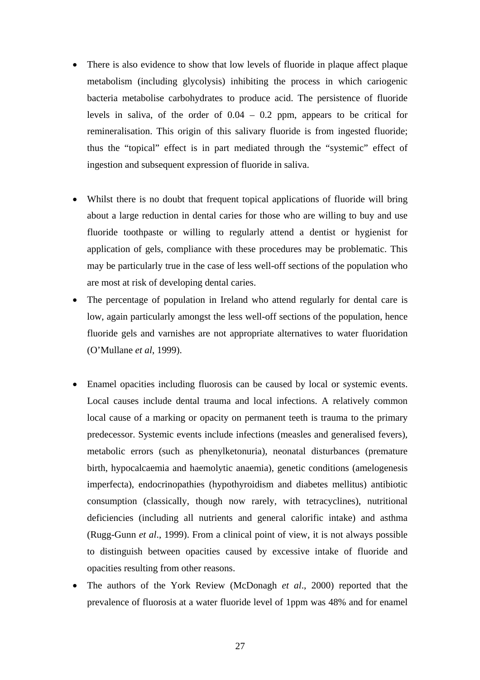- There is also evidence to show that low levels of fluoride in plaque affect plaque metabolism (including glycolysis) inhibiting the process in which cariogenic bacteria metabolise carbohydrates to produce acid. The persistence of fluoride levels in saliva, of the order of  $0.04 - 0.2$  ppm, appears to be critical for remineralisation. This origin of this salivary fluoride is from ingested fluoride; thus the "topical" effect is in part mediated through the "systemic" effect of ingestion and subsequent expression of fluoride in saliva.
- Whilst there is no doubt that frequent topical applications of fluoride will bring about a large reduction in dental caries for those who are willing to buy and use fluoride toothpaste or willing to regularly attend a dentist or hygienist for application of gels, compliance with these procedures may be problematic. This may be particularly true in the case of less well-off sections of the population who are most at risk of developing dental caries.
- The percentage of population in Ireland who attend regularly for dental care is low, again particularly amongst the less well-off sections of the population, hence fluoride gels and varnishes are not appropriate alternatives to water fluoridation (O'Mullane *et al*, 1999).
- Enamel opacities including fluorosis can be caused by local or systemic events. Local causes include dental trauma and local infections. A relatively common local cause of a marking or opacity on permanent teeth is trauma to the primary predecessor. Systemic events include infections (measles and generalised fevers), metabolic errors (such as phenylketonuria), neonatal disturbances (premature birth, hypocalcaemia and haemolytic anaemia), genetic conditions (amelogenesis imperfecta), endocrinopathies (hypothyroidism and diabetes mellitus) antibiotic consumption (classically, though now rarely, with tetracyclines), nutritional deficiencies (including all nutrients and general calorific intake) and asthma (Rugg-Gunn *et al*., 1999). From a clinical point of view, it is not always possible to distinguish between opacities caused by excessive intake of fluoride and opacities resulting from other reasons.
- The authors of the York Review (McDonagh *et al*., 2000) reported that the prevalence of fluorosis at a water fluoride level of 1ppm was 48% and for enamel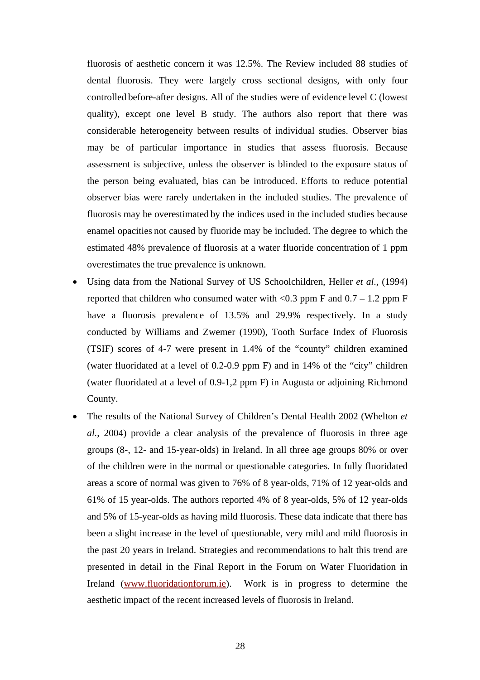fluorosis of aesthetic concern it was 12.5%. The Review included 88 studies of dental fluorosis. They were largely cross sectional designs, with only four controlled before-after designs. All of the studies were of evidence level C (lowest quality), except one level B study. The authors also report that there was considerable heterogeneity between results of individual studies. Observer bias may be of particular importance in studies that assess fluorosis. Because assessment is subjective, unless the observer is blinded to the exposure status of the person being evaluated, bias can be introduced. Efforts to reduce potential observer bias were rarely undertaken in the included studies. The prevalence of fluorosis may be overestimated by the indices used in the included studies because enamel opacities not caused by fluoride may be included. The degree to which the estimated 48% prevalence of fluorosis at a water fluoride concentration of 1 ppm overestimates the true prevalence is unknown.

- Using data from the National Survey of US Schoolchildren, Heller *et al*., (1994) reported that children who consumed water with  $\langle 0.3 \text{ ppm} \rangle$  F and  $0.7 - 1.2 \text{ ppm} \rangle$  F have a fluorosis prevalence of 13.5% and 29.9% respectively. In a study conducted by Williams and Zwemer (1990), Tooth Surface Index of Fluorosis (TSIF) scores of 4-7 were present in 1.4% of the "county" children examined (water fluoridated at a level of 0.2-0.9 ppm F) and in 14% of the "city" children (water fluoridated at a level of 0.9-1,2 ppm F) in Augusta or adjoining Richmond County.
- The results of the National Survey of Children's Dental Health 2002 (Whelton *et al.,* 2004) provide a clear analysis of the prevalence of fluorosis in three age groups (8-, 12- and 15-year-olds) in Ireland. In all three age groups 80% or over of the children were in the normal or questionable categories. In fully fluoridated areas a score of normal was given to 76% of 8 year-olds, 71% of 12 year-olds and 61% of 15 year-olds. The authors reported 4% of 8 year-olds, 5% of 12 year-olds and 5% of 15-year-olds as having mild fluorosis. These data indicate that there has been a slight increase in the level of questionable, very mild and mild fluorosis in the past 20 years in Ireland. Strategies and recommendations to halt this trend are presented in detail in the Final Report in the Forum on Water Fluoridation in Ireland (www.fluoridationforum.ie). Work is in progress to determine the aesthetic impact of the recent increased levels of fluorosis in Ireland.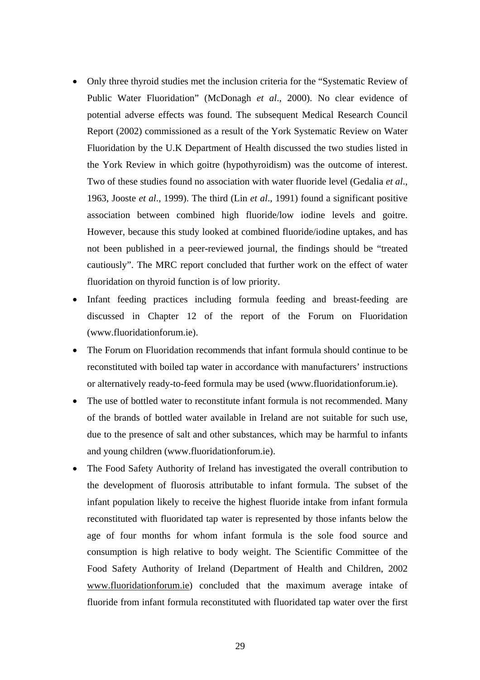- Only three thyroid studies met the inclusion criteria for the "Systematic Review of Public Water Fluoridation" (McDonagh *et al*., 2000). No clear evidence of potential adverse effects was found. The subsequent Medical Research Council Report (2002) commissioned as a result of the York Systematic Review on Water Fluoridation by the U.K Department of Health discussed the two studies listed in the York Review in which goitre (hypothyroidism) was the outcome of interest. Two of these studies found no association with water fluoride level (Gedalia *et al*., 1963, Jooste *et al*., 1999). The third (Lin *et al*., 1991) found a significant positive association between combined high fluoride/low iodine levels and goitre. However, because this study looked at combined fluoride/iodine uptakes, and has not been published in a peer-reviewed journal, the findings should be "treated cautiously". The MRC report concluded that further work on the effect of water fluoridation on thyroid function is of low priority.
- Infant feeding practices including formula feeding and breast-feeding are discussed in Chapter 12 of the report of the Forum on Fluoridation (www.fluoridationforum.ie).
- The Forum on Fluoridation recommends that infant formula should continue to be reconstituted with boiled tap water in accordance with manufacturers' instructions or alternatively ready-to-feed formula may be used (www.fluoridationforum.ie).
- The use of bottled water to reconstitute infant formula is not recommended. Many of the brands of bottled water available in Ireland are not suitable for such use, due to the presence of salt and other substances, which may be harmful to infants and young children (www.fluoridationforum.ie).
- The Food Safety Authority of Ireland has investigated the overall contribution to the development of fluorosis attributable to infant formula. The subset of the infant population likely to receive the highest fluoride intake from infant formula reconstituted with fluoridated tap water is represented by those infants below the age of four months for whom infant formula is the sole food source and consumption is high relative to body weight. The Scientific Committee of the Food Safety Authority of Ireland (Department of Health and Children, 2002 www.fluoridationforum.ie) concluded that the maximum average intake of fluoride from infant formula reconstituted with fluoridated tap water over the first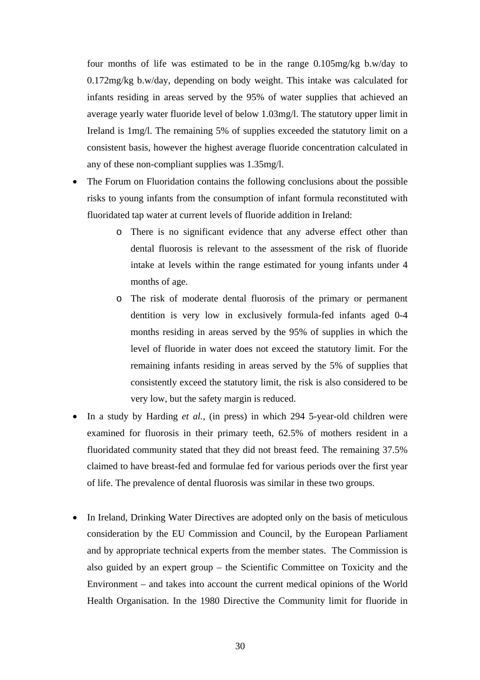four months of life was estimated to be in the range 0.105mg/kg b.w/day to 0.172mg/kg b.w/day, depending on body weight. This intake was calculated for infants residing in areas served by the 95% of water supplies that achieved an average yearly water fluoride level of below 1.03mg/l. The statutory upper limit in Ireland is 1mg/l. The remaining 5% of supplies exceeded the statutory limit on a consistent basis, however the highest average fluoride concentration calculated in any of these non-compliant supplies was 1.35mg/l.

- The Forum on Fluoridation contains the following conclusions about the possible risks to young infants from the consumption of infant formula reconstituted with fluoridated tap water at current levels of fluoride addition in Ireland:
	- o There is no significant evidence that any adverse effect other than dental fluorosis is relevant to the assessment of the risk of fluoride intake at levels within the range estimated for young infants under 4 months of age.
	- o The risk of moderate dental fluorosis of the primary or permanent dentition is very low in exclusively formula-fed infants aged 0-4 months residing in areas served by the 95% of supplies in which the level of fluoride in water does not exceed the statutory limit. For the remaining infants residing in areas served by the 5% of supplies that consistently exceed the statutory limit, the risk is also considered to be very low, but the safety margin is reduced.
- In a study by Harding *et al.,* (in press) in which 294 5-year-old children were examined for fluorosis in their primary teeth, 62.5% of mothers resident in a fluoridated community stated that they did not breast feed. The remaining 37.5% claimed to have breast-fed and formulae fed for various periods over the first year of life. The prevalence of dental fluorosis was similar in these two groups.
- In Ireland, Drinking Water Directives are adopted only on the basis of meticulous consideration by the EU Commission and Council, by the European Parliament and by appropriate technical experts from the member states. The Commission is also guided by an expert group – the Scientific Committee on Toxicity and the Environment – and takes into account the current medical opinions of the World Health Organisation. In the 1980 Directive the Community limit for fluoride in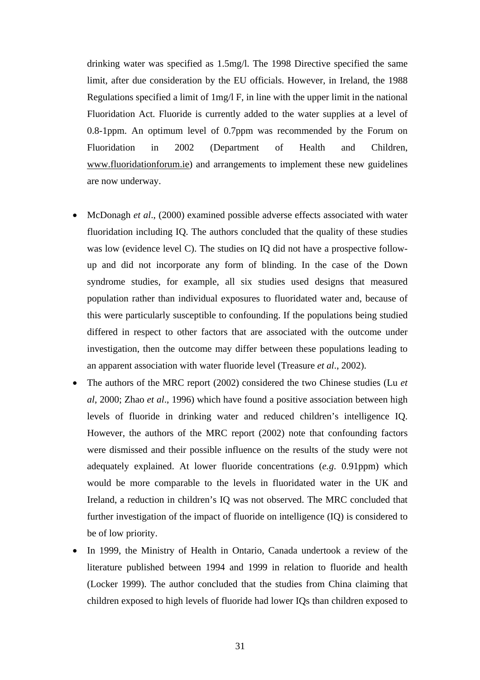drinking water was specified as 1.5mg/l. The 1998 Directive specified the same limit, after due consideration by the EU officials. However, in Ireland, the 1988 Regulations specified a limit of 1mg/l F, in line with the upper limit in the national Fluoridation Act. Fluoride is currently added to the water supplies at a level of 0.8-1ppm. An optimum level of 0.7ppm was recommended by the Forum on Fluoridation in 2002 (Department of Health and Children, www.fluoridationforum.ie) and arrangements to implement these new guidelines are now underway.

- McDonagh *et al*., (2000) examined possible adverse effects associated with water fluoridation including IQ. The authors concluded that the quality of these studies was low (evidence level C). The studies on IQ did not have a prospective followup and did not incorporate any form of blinding. In the case of the Down syndrome studies, for example, all six studies used designs that measured population rather than individual exposures to fluoridated water and, because of this were particularly susceptible to confounding. If the populations being studied differed in respect to other factors that are associated with the outcome under investigation, then the outcome may differ between these populations leading to an apparent association with water fluoride level (Treasure *et al*., 2002).
- The authors of the MRC report (2002) considered the two Chinese studies (Lu *et al*, 2000; Zhao *et al*., 1996) which have found a positive association between high levels of fluoride in drinking water and reduced children's intelligence IQ. However, the authors of the MRC report (2002) note that confounding factors were dismissed and their possible influence on the results of the study were not adequately explained. At lower fluoride concentrations (*e.g*. 0.91ppm) which would be more comparable to the levels in fluoridated water in the UK and Ireland, a reduction in children's IQ was not observed. The MRC concluded that further investigation of the impact of fluoride on intelligence (IQ) is considered to be of low priority.
- In 1999, the Ministry of Health in Ontario, Canada undertook a review of the literature published between 1994 and 1999 in relation to fluoride and health (Locker 1999). The author concluded that the studies from China claiming that children exposed to high levels of fluoride had lower IQs than children exposed to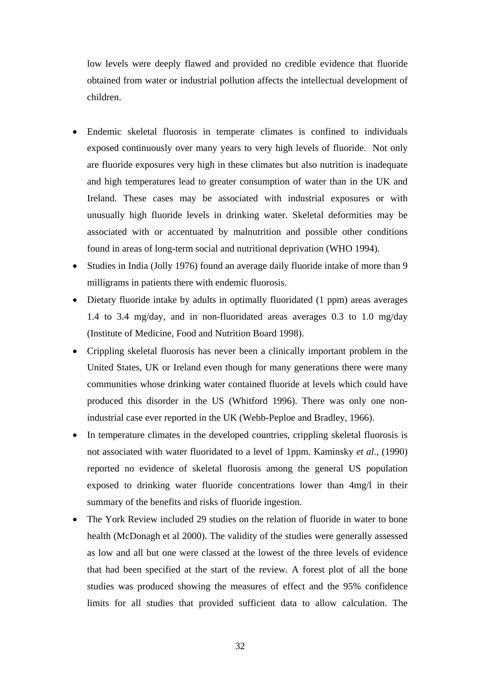low levels were deeply flawed and provided no credible evidence that fluoride obtained from water or industrial pollution affects the intellectual development of children.

- Endemic skeletal fluorosis in temperate climates is confined to individuals exposed continuously over many years to very high levels of fluoride. Not only are fluoride exposures very high in these climates but also nutrition is inadequate and high temperatures lead to greater consumption of water than in the UK and Ireland. These cases may be associated with industrial exposures or with unusually high fluoride levels in drinking water. Skeletal deformities may be associated with or accentuated by malnutrition and possible other conditions found in areas of long-term social and nutritional deprivation (WHO 1994).
- Studies in India (Jolly 1976) found an average daily fluoride intake of more than 9 milligrams in patients there with endemic fluorosis.
- Dietary fluoride intake by adults in optimally fluoridated (1 ppm) areas averages 1.4 to 3.4 mg/day, and in non-fluoridated areas averages 0.3 to 1.0 mg/day (Institute of Medicine, Food and Nutrition Board 1998).
- Crippling skeletal fluorosis has never been a clinically important problem in the United States, UK or Ireland even though for many generations there were many communities whose drinking water contained fluoride at levels which could have produced this disorder in the US (Whitford 1996). There was only one nonindustrial case ever reported in the UK (Webb-Peploe and Bradley, 1966).
- In temperature climates in the developed countries, crippling skeletal fluorosis is not associated with water fluoridated to a level of 1ppm. Kaminsky *et al*., (1990) reported no evidence of skeletal fluorosis among the general US population exposed to drinking water fluoride concentrations lower than 4mg/l in their summary of the benefits and risks of fluoride ingestion.
- The York Review included 29 studies on the relation of fluoride in water to bone health (McDonagh et al 2000). The validity of the studies were generally assessed as low and all but one were classed at the lowest of the three levels of evidence that had been specified at the start of the review. A forest plot of all the bone studies was produced showing the measures of effect and the 95% confidence limits for all studies that provided sufficient data to allow calculation. The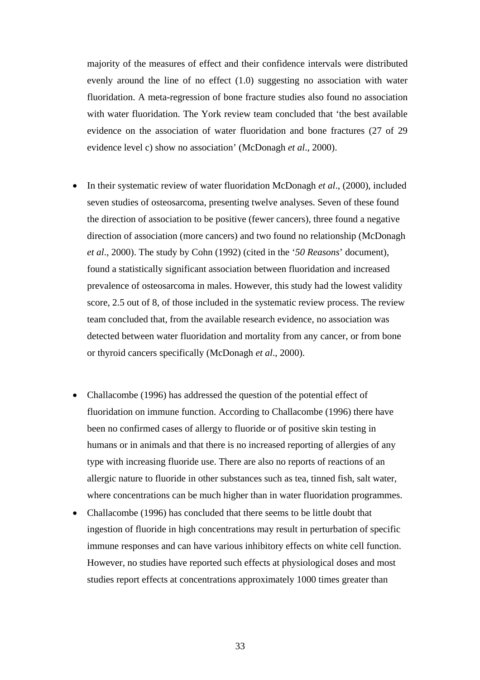majority of the measures of effect and their confidence intervals were distributed evenly around the line of no effect (1.0) suggesting no association with water fluoridation. A meta-regression of bone fracture studies also found no association with water fluoridation. The York review team concluded that 'the best available evidence on the association of water fluoridation and bone fractures (27 of 29 evidence level c) show no association' (McDonagh *et al*., 2000).

- In their systematic review of water fluoridation McDonagh *et al.*, (2000), included seven studies of osteosarcoma, presenting twelve analyses. Seven of these found the direction of association to be positive (fewer cancers), three found a negative direction of association (more cancers) and two found no relationship (McDonagh *et al*., 2000). The study by Cohn (1992) (cited in the '*50 Reasons*' document), found a statistically significant association between fluoridation and increased prevalence of osteosarcoma in males. However, this study had the lowest validity score, 2.5 out of 8, of those included in the systematic review process. The review team concluded that, from the available research evidence, no association was detected between water fluoridation and mortality from any cancer, or from bone or thyroid cancers specifically (McDonagh *et al*., 2000).
- Challacombe (1996) has addressed the question of the potential effect of fluoridation on immune function. According to Challacombe (1996) there have been no confirmed cases of allergy to fluoride or of positive skin testing in humans or in animals and that there is no increased reporting of allergies of any type with increasing fluoride use. There are also no reports of reactions of an allergic nature to fluoride in other substances such as tea, tinned fish, salt water, where concentrations can be much higher than in water fluoridation programmes.
- Challacombe (1996) has concluded that there seems to be little doubt that ingestion of fluoride in high concentrations may result in perturbation of specific immune responses and can have various inhibitory effects on white cell function. However, no studies have reported such effects at physiological doses and most studies report effects at concentrations approximately 1000 times greater than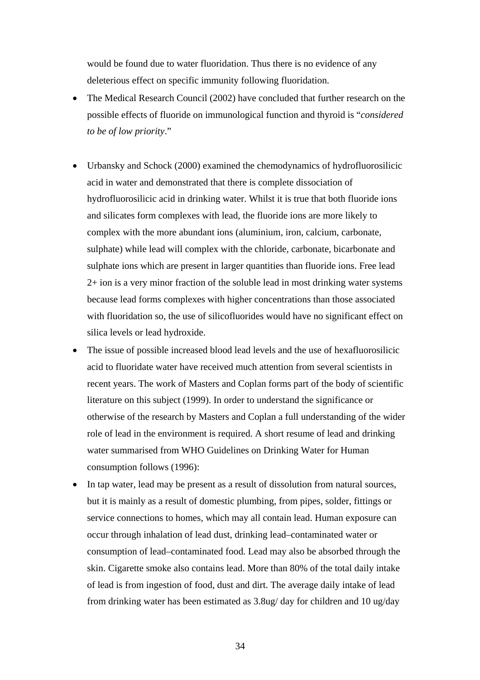would be found due to water fluoridation. Thus there is no evidence of any deleterious effect on specific immunity following fluoridation.

- The Medical Research Council (2002) have concluded that further research on the possible effects of fluoride on immunological function and thyroid is "*considered to be of low priority*."
- Urbansky and Schock (2000) examined the chemodynamics of hydrofluorosilicic acid in water and demonstrated that there is complete dissociation of hydrofluorosilicic acid in drinking water. Whilst it is true that both fluoride ions and silicates form complexes with lead, the fluoride ions are more likely to complex with the more abundant ions (aluminium, iron, calcium, carbonate, sulphate) while lead will complex with the chloride, carbonate, bicarbonate and sulphate ions which are present in larger quantities than fluoride ions. Free lead 2+ ion is a very minor fraction of the soluble lead in most drinking water systems because lead forms complexes with higher concentrations than those associated with fluoridation so, the use of silicofluorides would have no significant effect on silica levels or lead hydroxide.
- The issue of possible increased blood lead levels and the use of hexafluorosilicic acid to fluoridate water have received much attention from several scientists in recent years. The work of Masters and Coplan forms part of the body of scientific literature on this subject (1999). In order to understand the significance or otherwise of the research by Masters and Coplan a full understanding of the wider role of lead in the environment is required. A short resume of lead and drinking water summarised from WHO Guidelines on Drinking Water for Human consumption follows (1996):
- In tap water, lead may be present as a result of dissolution from natural sources, but it is mainly as a result of domestic plumbing, from pipes, solder, fittings or service connections to homes, which may all contain lead. Human exposure can occur through inhalation of lead dust, drinking lead–contaminated water or consumption of lead–contaminated food. Lead may also be absorbed through the skin. Cigarette smoke also contains lead. More than 80% of the total daily intake of lead is from ingestion of food, dust and dirt. The average daily intake of lead from drinking water has been estimated as 3.8ug/ day for children and 10 ug/day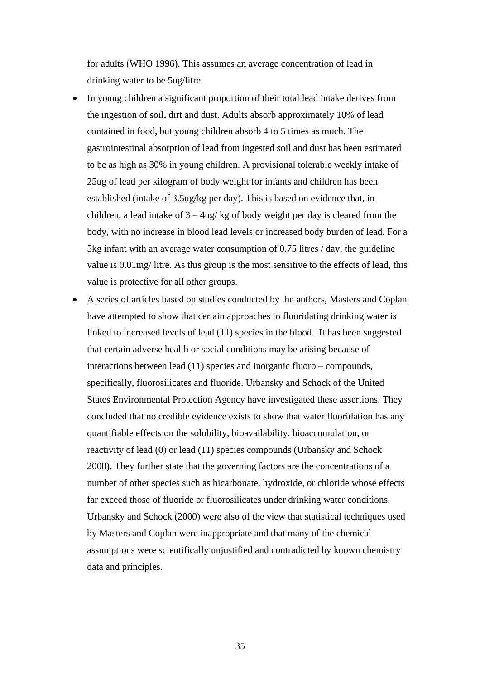for adults (WHO 1996). This assumes an average concentration of lead in drinking water to be 5ug/litre.

- In young children a significant proportion of their total lead intake derives from the ingestion of soil, dirt and dust. Adults absorb approximately 10% of lead contained in food, but young children absorb 4 to 5 times as much. The gastrointestinal absorption of lead from ingested soil and dust has been estimated to be as high as 30% in young children. A provisional tolerable weekly intake of 25ug of lead per kilogram of body weight for infants and children has been established (intake of 3.5ug/kg per day). This is based on evidence that, in children, a lead intake of  $3 - 4\mu$ g/kg of body weight per day is cleared from the body, with no increase in blood lead levels or increased body burden of lead. For a 5kg infant with an average water consumption of 0.75 litres / day, the guideline value is 0.01mg/ litre. As this group is the most sensitive to the effects of lead, this value is protective for all other groups.
- A series of articles based on studies conducted by the authors, Masters and Coplan have attempted to show that certain approaches to fluoridating drinking water is linked to increased levels of lead (11) species in the blood. It has been suggested that certain adverse health or social conditions may be arising because of interactions between lead (11) species and inorganic fluoro – compounds, specifically, fluorosilicates and fluoride. Urbansky and Schock of the United States Environmental Protection Agency have investigated these assertions. They concluded that no credible evidence exists to show that water fluoridation has any quantifiable effects on the solubility, bioavailability, bioaccumulation, or reactivity of lead (0) or lead (11) species compounds (Urbansky and Schock 2000). They further state that the governing factors are the concentrations of a number of other species such as bicarbonate, hydroxide, or chloride whose effects far exceed those of fluoride or fluorosilicates under drinking water conditions. Urbansky and Schock (2000) were also of the view that statistical techniques used by Masters and Coplan were inappropriate and that many of the chemical assumptions were scientifically unjustified and contradicted by known chemistry data and principles.

35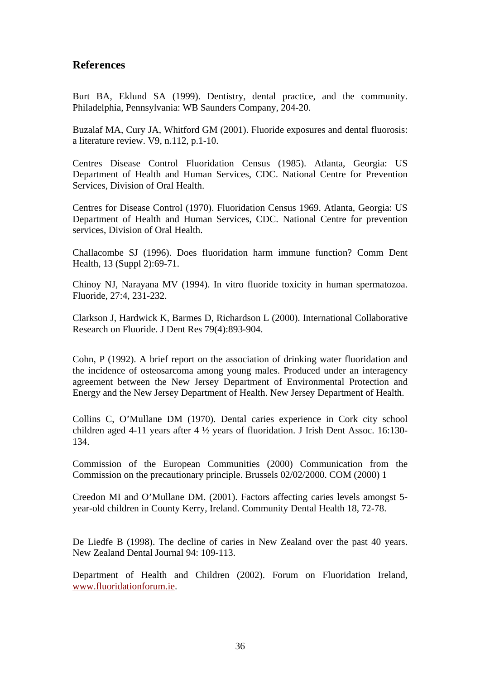# **References**

Burt BA, Eklund SA (1999). Dentistry, dental practice, and the community. Philadelphia, Pennsylvania: WB Saunders Company, 204-20.

Buzalaf MA, Cury JA, Whitford GM (2001). Fluoride exposures and dental fluorosis: a literature review. V9, n.112, p.1-10.

Centres Disease Control Fluoridation Census (1985). Atlanta, Georgia: US Department of Health and Human Services, CDC. National Centre for Prevention Services, Division of Oral Health.

Centres for Disease Control (1970). Fluoridation Census 1969. Atlanta, Georgia: US Department of Health and Human Services, CDC. National Centre for prevention services, Division of Oral Health.

Challacombe SJ (1996). Does fluoridation harm immune function? Comm Dent Health, 13 (Suppl 2):69-71.

Chinoy NJ, Narayana MV (1994). In vitro fluoride toxicity in human spermatozoa. Fluoride, 27:4, 231-232.

Clarkson J, Hardwick K, Barmes D, Richardson L (2000). International Collaborative Research on Fluoride. J Dent Res 79(4):893-904.

Cohn, P (1992). A brief report on the association of drinking water fluoridation and the incidence of osteosarcoma among young males. Produced under an interagency agreement between the New Jersey Department of Environmental Protection and Energy and the New Jersey Department of Health. New Jersey Department of Health.

Collins C, O'Mullane DM (1970). Dental caries experience in Cork city school children aged 4-11 years after 4 ½ years of fluoridation. J Irish Dent Assoc. 16:130- 134.

Commission of the European Communities (2000) Communication from the Commission on the precautionary principle. Brussels 02/02/2000. COM (2000) 1

Creedon MI and O'Mullane DM. (2001). Factors affecting caries levels amongst 5 year-old children in County Kerry, Ireland. Community Dental Health 18, 72-78.

De Liedfe B (1998). The decline of caries in New Zealand over the past 40 years. New Zealand Dental Journal 94: 109-113.

Department of Health and Children (2002). Forum on Fluoridation Ireland, www.fluoridationforum.ie.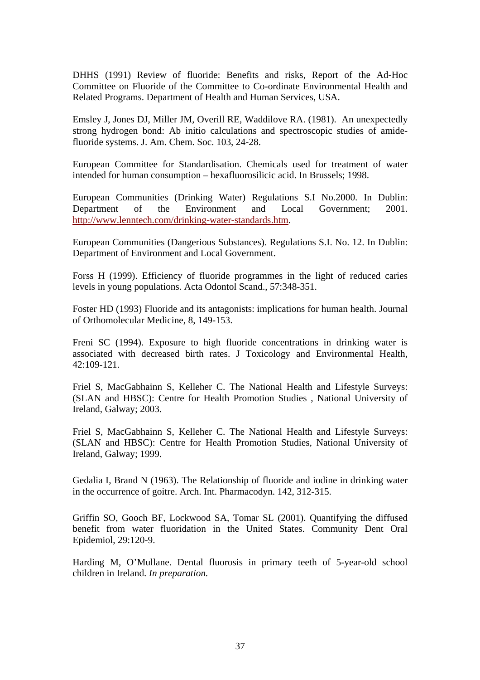DHHS (1991) Review of fluoride: Benefits and risks, Report of the Ad-Hoc Committee on Fluoride of the Committee to Co-ordinate Environmental Health and Related Programs. Department of Health and Human Services, USA.

Emsley J, Jones DJ, Miller JM, Overill RE, Waddilove RA. (1981). An unexpectedly strong hydrogen bond: Ab initio calculations and spectroscopic studies of amidefluoride systems. J. Am. Chem. Soc. 103, 24-28.

European Committee for Standardisation. Chemicals used for treatment of water intended for human consumption – hexafluorosilicic acid. In Brussels; 1998.

European Communities (Drinking Water) Regulations S.I No.2000. In Dublin: Department of the Environment and Local Government; 2001. http://www.lenntech.com/drinking-water-standards.htm.

European Communities (Dangerious Substances). Regulations S.I. No. 12. In Dublin: Department of Environment and Local Government.

Forss H (1999). Efficiency of fluoride programmes in the light of reduced caries levels in young populations. Acta Odontol Scand., 57:348-351.

Foster HD (1993) Fluoride and its antagonists: implications for human health. Journal of Orthomolecular Medicine, 8, 149-153.

Freni SC (1994). Exposure to high fluoride concentrations in drinking water is associated with decreased birth rates. J Toxicology and Environmental Health, 42:109-121.

Friel S, MacGabhainn S, Kelleher C. The National Health and Lifestyle Surveys: (SLAN and HBSC): Centre for Health Promotion Studies , National University of Ireland, Galway; 2003.

Friel S, MacGabhainn S, Kelleher C. The National Health and Lifestyle Surveys: (SLAN and HBSC): Centre for Health Promotion Studies, National University of Ireland, Galway; 1999.

Gedalia I, Brand N (1963). The Relationship of fluoride and iodine in drinking water in the occurrence of goitre. Arch. Int. Pharmacodyn. 142, 312-315.

Griffin SO, Gooch BF, Lockwood SA, Tomar SL (2001). Quantifying the diffused benefit from water fluoridation in the United States. Community Dent Oral Epidemiol, 29:120-9.

Harding M, O'Mullane. Dental fluorosis in primary teeth of 5-year-old school children in Ireland. *In preparation.*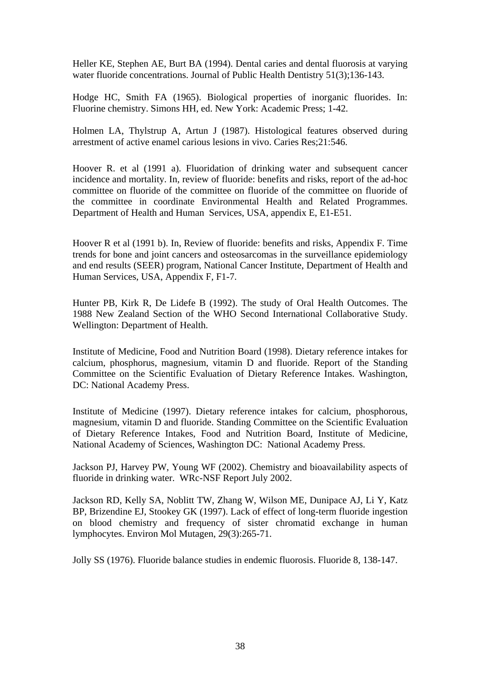Heller KE, Stephen AE, Burt BA (1994). Dental caries and dental fluorosis at varying water fluoride concentrations. Journal of Public Health Dentistry 51(3);136-143.

Hodge HC, Smith FA (1965). Biological properties of inorganic fluorides. In: Fluorine chemistry. Simons HH, ed. New York: Academic Press; 1-42.

Holmen LA, Thylstrup A, Artun J (1987). Histological features observed during arrestment of active enamel carious lesions in vivo. Caries Res;21:546.

Hoover R. et al (1991 a). Fluoridation of drinking water and subsequent cancer incidence and mortality. In, review of fluoride: benefits and risks, report of the ad-hoc committee on fluoride of the committee on fluoride of the committee on fluoride of the committee in coordinate Environmental Health and Related Programmes. Department of Health and Human Services, USA, appendix E, E1-E51.

Hoover R et al (1991 b). In, Review of fluoride: benefits and risks, Appendix F. Time trends for bone and joint cancers and osteosarcomas in the surveillance epidemiology and end results (SEER) program, National Cancer Institute, Department of Health and Human Services, USA, Appendix F, F1-7.

Hunter PB, Kirk R, De Lidefe B (1992). The study of Oral Health Outcomes. The 1988 New Zealand Section of the WHO Second International Collaborative Study. Wellington: Department of Health.

Institute of Medicine, Food and Nutrition Board (1998). Dietary reference intakes for calcium, phosphorus, magnesium, vitamin D and fluoride. Report of the Standing Committee on the Scientific Evaluation of Dietary Reference Intakes. Washington, DC: National Academy Press.

Institute of Medicine (1997). Dietary reference intakes for calcium, phosphorous, magnesium, vitamin D and fluoride. Standing Committee on the Scientific Evaluation of Dietary Reference Intakes, Food and Nutrition Board, Institute of Medicine, National Academy of Sciences, Washington DC: National Academy Press.

Jackson PJ, Harvey PW, Young WF (2002). Chemistry and bioavailability aspects of fluoride in drinking water. WRc-NSF Report July 2002.

Jackson RD, Kelly SA, Noblitt TW, Zhang W, Wilson ME, Dunipace AJ, Li Y, Katz BP, Brizendine EJ, Stookey GK (1997). Lack of effect of long-term fluoride ingestion on blood chemistry and frequency of sister chromatid exchange in human lymphocytes. Environ Mol Mutagen, 29(3):265-71.

Jolly SS (1976). Fluoride balance studies in endemic fluorosis. Fluoride 8, 138-147.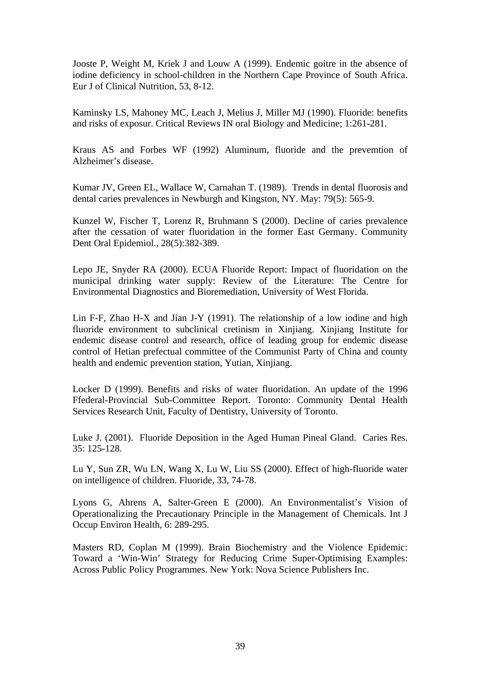Jooste P, Weight M, Kriek J and Louw A (1999). Endemic goitre in the absence of iodine deficiency in school-children in the Northern Cape Province of South Africa. Eur J of Clinical Nutrition, 53, 8-12.

Kaminsky LS, Mahoney MC, Leach J, Melius J, Miller MJ (1990). Fluoride: benefits and risks of exposur. Critical Reviews IN oral Biology and Medicine; 1:261-281.

Kraus AS and Forbes WF (1992) Aluminum, fluoride and the prevemtion of Alzheimer's disease.

Kumar JV, Green EL, Wallace W, Carnahan T. (1989). Trends in dental fluorosis and dental caries prevalences in Newburgh and Kingston, NY. May: 79(5): 565-9.

Kunzel W, Fischer T, Lorenz R, Bruhmann S (2000). Decline of caries prevalence after the cessation of water fluoridation in the former East Germany. Community Dent Oral Epidemiol., 28(5):382-389.

Lepo JE, Snyder RA (2000). ECUA Fluoride Report: Impact of fluoridation on the municipal drinking water supply: Review of the Literature: The Centre for Environmental Diagnostics and Bioremediation, University of West Florida.

Lin F-F, Zhao H-X and Jian J-Y (1991). The relationship of a low iodine and high fluoride environment to subclinical cretinism in Xinjiang. Xinjiang Institute for endemic disease control and research, office of leading group for endemic disease control of Hetian prefectual committee of the Communist Party of China and county health and endemic prevention station, Yutian, Xinjiang.

Locker D (1999). Benefits and risks of water fluoridation. An update of the 1996 Ffederal-Provincial Sub-Committee Report. Toronto: Community Dental Health Services Research Unit, Faculty of Dentistry, University of Toronto.

Luke J. (2001). Fluoride Deposition in the Aged Human Pineal Gland. Caries Res. 35: 125-128.

Lu Y, Sun ZR, Wu LN, Wang X, Lu W, Liu SS (2000). Effect of high-fluoride water on intelligence of children. Fluoride, 33, 74-78.

Lyons G, Ahrens A, Salter-Green E (2000). An Environmentalist's Vision of Operationalizing the Precautionary Principle in the Management of Chemicals. Int J Occup Environ Health, 6: 289-295.

Masters RD, Coplan M (1999). Brain Biochemistry and the Violence Epidemic: Toward a 'Win-Win' Strategy for Reducing Crime Super-Optimising Examples: Across Public Policy Programmes. New York: Nova Science Publishers Inc.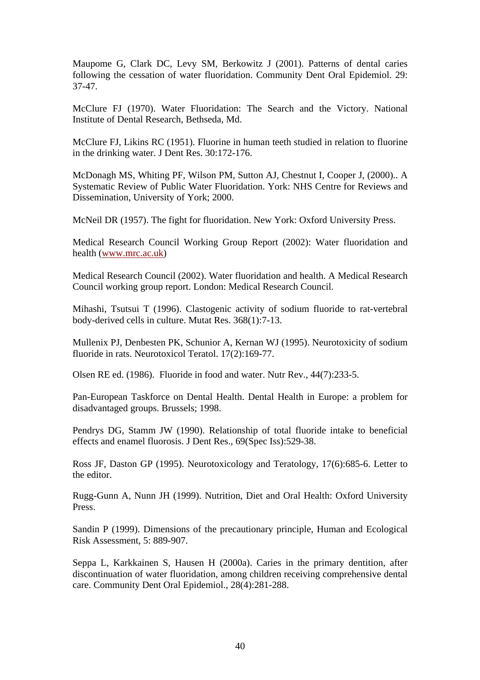Maupome G, Clark DC, Levy SM, Berkowitz J (2001). Patterns of dental caries following the cessation of water fluoridation. Community Dent Oral Epidemiol. 29: 37-47.

McClure FJ (1970). Water Fluoridation: The Search and the Victory. National Institute of Dental Research, Bethseda, Md.

McClure FJ, Likins RC (1951). Fluorine in human teeth studied in relation to fluorine in the drinking water. J Dent Res. 30:172-176.

McDonagh MS, Whiting PF, Wilson PM, Sutton AJ, Chestnut I, Cooper J, (2000).. A Systematic Review of Public Water Fluoridation. York: NHS Centre for Reviews and Dissemination, University of York; 2000.

McNeil DR (1957). The fight for fluoridation. New York: Oxford University Press.

Medical Research Council Working Group Report (2002): Water fluoridation and health (www.mrc.ac.uk)

Medical Research Council (2002). Water fluoridation and health. A Medical Research Council working group report. London: Medical Research Council.

Mihashi, Tsutsui T (1996). Clastogenic activity of sodium fluoride to rat-vertebral body-derived cells in culture. Mutat Res. 368(1):7-13.

Mullenix PJ, Denbesten PK, Schunior A, Kernan WJ (1995). Neurotoxicity of sodium fluoride in rats. Neurotoxicol Teratol. 17(2):169-77.

Olsen RE ed. (1986). Fluoride in food and water. Nutr Rev., 44(7):233-5.

Pan-European Taskforce on Dental Health. Dental Health in Europe: a problem for disadvantaged groups. Brussels; 1998.

Pendrys DG, Stamm JW (1990). Relationship of total fluoride intake to beneficial effects and enamel fluorosis. J Dent Res., 69(Spec Iss):529-38.

Ross JF, Daston GP (1995). Neurotoxicology and Teratology, 17(6):685-6. Letter to the editor.

Rugg-Gunn A, Nunn JH (1999). Nutrition, Diet and Oral Health: Oxford University Press.

Sandin P (1999). Dimensions of the precautionary principle, Human and Ecological Risk Assessment, 5: 889-907.

Seppa L, Karkkainen S, Hausen H (2000a). Caries in the primary dentition, after discontinuation of water fluoridation, among children receiving comprehensive dental care. Community Dent Oral Epidemiol., 28(4):281-288.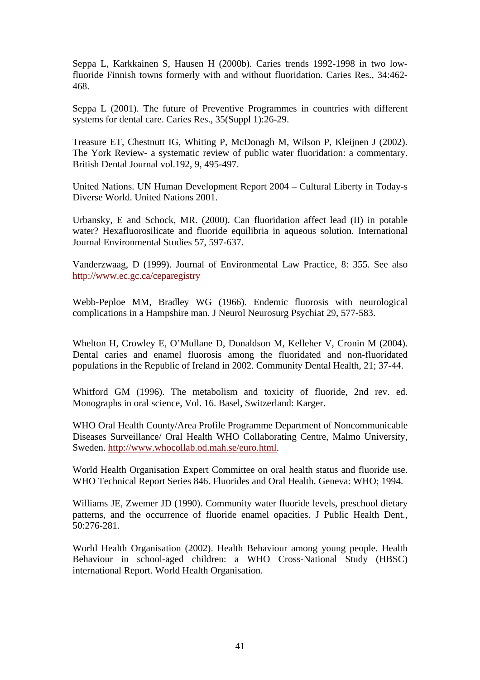Seppa L, Karkkainen S, Hausen H (2000b). Caries trends 1992-1998 in two lowfluoride Finnish towns formerly with and without fluoridation. Caries Res., 34:462- 468.

Seppa L (2001). The future of Preventive Programmes in countries with different systems for dental care. Caries Res., 35(Suppl 1):26-29.

Treasure ET, Chestnutt IG, Whiting P, McDonagh M, Wilson P, Kleijnen J (2002). The York Review- a systematic review of public water fluoridation: a commentary. British Dental Journal vol.192, 9, 495-497.

United Nations. UN Human Development Report 2004 – Cultural Liberty in Today-s Diverse World. United Nations 2001.

Urbansky, E and Schock, MR. (2000). Can fluoridation affect lead (II) in potable water? Hexafluorosilicate and fluoride equilibria in aqueous solution. International Journal Environmental Studies 57, 597-637.

Vanderzwaag, D (1999). Journal of Environmental Law Practice, 8: 355. See also http://www.ec.gc.ca/ceparegistry

Webb-Peploe MM, Bradley WG (1966). Endemic fluorosis with neurological complications in a Hampshire man. J Neurol Neurosurg Psychiat 29, 577-583.

Whelton H, Crowley E, O'Mullane D, Donaldson M, Kelleher V, Cronin M (2004). Dental caries and enamel fluorosis among the fluoridated and non-fluoridated populations in the Republic of Ireland in 2002. Community Dental Health, 21; 37-44.

Whitford GM (1996). The metabolism and toxicity of fluoride, 2nd rev. ed. Monographs in oral science, Vol. 16. Basel, Switzerland: Karger.

WHO Oral Health County/Area Profile Programme Department of Noncommunicable Diseases Surveillance/ Oral Health WHO Collaborating Centre, Malmo University, Sweden. http://www.whocollab.od.mah.se/euro.html.

World Health Organisation Expert Committee on oral health status and fluoride use. WHO Technical Report Series 846. Fluorides and Oral Health. Geneva: WHO; 1994.

Williams JE, Zwemer JD (1990). Community water fluoride levels, preschool dietary patterns, and the occurrence of fluoride enamel opacities. J Public Health Dent., 50:276-281.

World Health Organisation (2002). Health Behaviour among young people. Health Behaviour in school-aged children: a WHO Cross-National Study (HBSC) international Report. World Health Organisation.